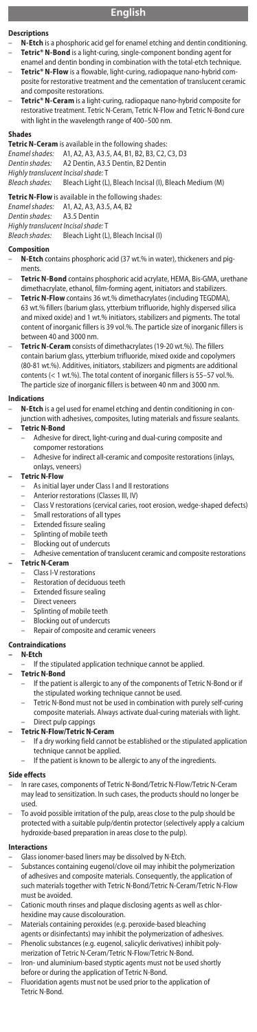# **English**

#### **Descriptions**

- **N-Etch** is a phosphoric acid gel for enamel etching and dentin conditioning. – **Tetric® N-Bond** is a light-curing, single-component bonding agent for
- enamel and dentin bonding in combination with the total-etch technique.<br>Tetric® N-Flow is a flowable, light-curing, radiopaque nano-hybrid come, light-curing, radiopaque nano-hybrid co posite for restorative treatment and the cementation of translucent ceramic
- and composite restorations.<br>– **Tetric® N-Ceram** is a light-curing, radiopaque nano-hybrid composite for<br>restorative treatment. Tetric N-Ceram, Tetric N-Flow and Tetric N-Bond cure with light in the wavelength range of 400–500 nm.

**Shades Tetric N-Ceram** is available in the following shades: *Enamel shades:* A1, A2, A3, A3.5, A4, B1, B2, B3, C2, C3, D3 *Dentin shades:* A2 Dentin, A3.5 Dentin, B2 Dentin *Highly translucent Incisal shade:* T **Bleach Light (L), Bleach Incisal (I), Bleach Medium (M)** 

**Tetric N-Flow** is available in the following shades:<br>Enamel shades: A1, A2, A3, A3.5, A4, B2 *Enamel shades:* A1, A2, A3, A3.5, A4, B2 **Dentin shades:** *Highly translucent Incisal shade:* T

Bleach Light (L), Bleach Incisal (I)

- **Composition**<br>– **N-Etch** contains phosphoric acid (37 wt.% in water), thickeners and pigments.
- **Tetric N-Bond** contains phosphoric acid acrylate, HEMA, Bis-GMA, urethane dimethacrylate, ethanol, film-forming agent, initiators and stabilizers.
- **Tetric N-Flow** contains 36 wt.% dimethacrylates (including TEGDMA), 63 wt.% fillers (barium glass, ytterbium trifluoride, highly dispersed silica and mixed oxide) and 1 wt.% initiators, stabilizers and pigments. The total content of inorganic fillers is 39 vol.%. The particle size of inorganic fillers is between 40 and 3000 nm.
- **Tetric N-Ceram** consists of dimethacrylates (19-20 wt.%). The fillers contain barium glass, ytterbium trifluoride, mixed oxide and copolymers (80-81 wt.%). Additives, initiators, stabilizers and pigments are additional contents (< 1 wt.%). The total content of inorganic fillers is 55–57 vol.%. The particle size of inorganic fillers is between 40 nm and 3000 nm.

# **Indications**

– **N-Etch** is a gel used for enamel etching and dentin conditioning in conjunction with adhesives, composites, luting materials and fissure sealants.

## **– Tetric N-Bond**

- Adhesive for direct, light-curing and dual-curing composite and compomer restorations
- Adhesive for indirect all-ceramic and composite restorations (inlays, onlays, veneers)

### **– Tetric N-Flow**

- As initial layer under Class I and II restorations
- Anterior restorations (Classes III, IV)
- Class V restorations (cervical caries, root erosion, wedge-shaped defects) – Small restorations of all types<br>– Extended fissure sealing
- Extended fissure sealing
- Splinting of mobile teeth
- 
- Blocking out of undercuts<br>Adhesive cementation of t entation of translucent ceramic and composite restorations **– Tetric N-Ceram**
- Class I-V restorations
	- Restoration of deciduous teeth
	- Extended fissure sealing
	- Direct veneers
	- Splinting of mobile teeth
	- Blocking out of undercuts
	- Repair of composite and ceramic veneers

#### **Contraindications**

### **– N-Etch**

If the stipulated application technique cannot be applied.

# **– Tetric N-Bond**

- If the patient is allergic to any of the components of Tetric N-Bond or if the stipulated working technique cannot be used. – Tetric N-Bond must not be used in combination with purely self-curing
- composite materials. Always activate dual-curing materials with light. – Direct pulp cappings

#### **– Tetric N-Flow/Tetric N-Ceram**

- If a dry working field cannot be established or the stipulated application technique cannot be applied.
	- If the patient is known to be allergic to any of the ingredients.

#### **Side effects**

- In rare cases, components of Tetric N-Bond/Tetric N-Flow/Tetric N-Ceram may lead to sensitization. In such cases, the products should no longer be used.
- To avoid possible irritation of the pulp, areas close to the pulp should be protected with a suitable pulp/dentin protector (selectively apply a calcium hydroxide-based preparation in areas close to the pulp).

#### **Interactions**

- Glass ionomer-based liners may be dissolved by N-Etch.
- Substances containing eugenol/clove oil may inhibit the polymerization of adhesives and composite materials. Consequently, the application of such materials together with Tetric N-Bond/Tetric N-Ceram/Tetric N-Flow must be avoided.
- Cationic mouth rinses and plaque disclosing agents as well as chlorhexidine may cause discolouration.
- Materials containing peroxides (e.g. peroxide-based bleaching
- agents or disinfectants) may inhibit the polymerization of adhesives. Phenolic substances (e.g. eugenol, salicylic derivatives) inhibit poly-
- merization of Tetric N-Ceram/Tetric N-Flow/Tetric N-Bond. – Iron- und aluminium-based styptic agents must not be used shortly before or during the application of Tetric N-Bond.
- Fluoridation agents must not be used prior to the application of Tetric N-Bond.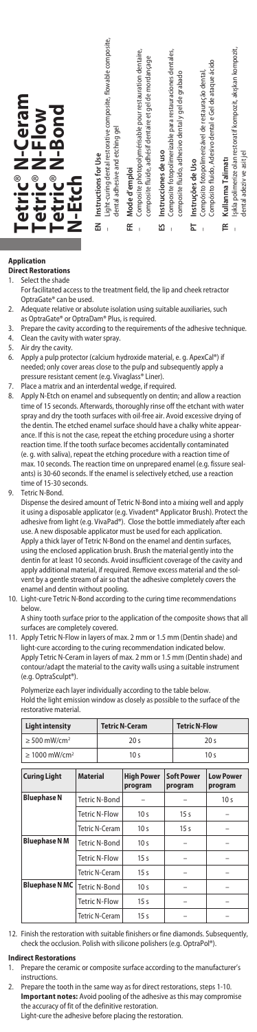

# **Application**

**Direct Restorations**<br>1 Select the shade Select the shade

- For facilitated access to the treatment field, the lip and cheek retractor OptraGate® can be used.
- 2. Adequate relative or absolute isolation using suitable auxiliaries, such
- as OptraGate® or OptraDam® Plus, is required. 3. Prepare the cavity according to the requirements of the adhesive technique.<br>4. Clean the cavity with water spray.
- 4. Clean the cavity with water spray.<br>5. Air dry the cavity.
- 5. Air dry the cavity.<br>6. Apply a pulp prot Apply a pulp protector (calcium hydroxide material, e. g. ApexCal®) if needed; only cover areas close to the pulp and subsequently apply a
- pressure resistant cement (e.g. Vivaglass® Liner). 7. Place a matrix and an interdental wedge, if required.
- 8. Apply N-Etch on enamel and subsequently on dentin; and allow a reaction time of 15 seconds. Afterwards, thoroughly rinse off the etchant with water spray and dry the tooth surfaces with oil-free air. Avoid excessive drying of the dentin. The etched enamel surface should have a chalky white appearance. If this is not the case, repeat the etching procedure using a shorter reaction time. If the tooth surface becomes accidentally contaminated (e. g. with saliva), repeat the etching procedure with a reaction time of max. 10 seconds. The reaction time on unprepared enamel (e.g. fissure sealants) is 30-60 seconds. If the enamel is selectively etched, use a reaction time of 15-30 seconds.
- 9. Tetric N-Bond.

Dispense the desired amount of Tetric N-Bond into a mixing well and apply it using a disposable applicator (e.g. Vivadent® Applicator Brush). Protect the adhesive from light (e.g. VivaPad®). Close the bottle immediately after each use. A new disposable applicator must be used for each application. Apply a thick layer of Tetric N-Bond on the enamel and dentin surfaces, using the enclosed application brush. Brush the material gently into the dentin for at least 10 seconds. Avoid insufficient coverage of the cavity and apply additional material, if required. Remove excess material and the solvent by a gentle stream of air so that the adhesive completely covers the enamel and dentin without pooling.

- 10. Light-cure Tetric N-Bond according to the curing time recommendations below.
	- A shiny tooth surface prior to the application of the composite shows that all surfaces are completely covered.
- 11. Apply Tetric N-Flow in layers of max. 2 mm or 1.5 mm (Dentin shade) and light-cure according to the curing recommendation indicated below. Apply Tetric N-Ceram in layers of max. 2 mm or 1.5 mm (Dentin shade) and contour/adapt the material to the cavity walls using a suitable instrument (e.g. OptraSculpt®).

Polymerize each layer individually according to the table below. Hold the light emission window as closely as possible to the surface of the restorative material.

| <b>Light intensity</b>         |                      | <b>Tetric N-Ceram</b> |                              | <b>Tetric N-Flow</b> |                              |                             |
|--------------------------------|----------------------|-----------------------|------------------------------|----------------------|------------------------------|-----------------------------|
| $\geq$ 500 mW/cm <sup>2</sup>  |                      |                       | 20 <sub>s</sub>              |                      | 20 <sub>s</sub>              |                             |
| $\geq 1000$ mW/cm <sup>2</sup> |                      |                       | 10 <sub>s</sub>              |                      |                              | 10 <sub>s</sub>             |
| <b>Curing Light</b>            | <b>Material</b>      |                       | <b>High Power</b><br>program |                      | <b>Soft Power</b><br>program | <b>Low Power</b><br>program |
| <b>Bluephase N</b>             |                      | Tetric N-Bond         |                              |                      |                              | 10 <sub>s</sub>             |
|                                | <b>Tetric N-Flow</b> |                       | 10 <sub>s</sub>              |                      | 15s                          |                             |
|                                |                      | Tetric N-Ceram        | 10 <sub>s</sub>              |                      | 15 <sub>s</sub>              |                             |
| <b>Bluephase NM</b>            |                      | Tetric N-Bond         | 10 <sub>s</sub>              |                      |                              |                             |
|                                |                      | Tetric N-Flow         | 15 <sub>s</sub>              |                      |                              |                             |
|                                |                      | Tetric N-Ceram        | 15 <sub>s</sub>              |                      |                              |                             |
| <b>Bluephase N MC</b>          | Tetric N-Bond        |                       | 10 <sub>s</sub>              |                      |                              |                             |
|                                | <b>Tetric N-Flow</b> |                       | 15 <sub>s</sub>              |                      |                              |                             |
|                                |                      | Tetric N-Ceram        | 15 <sub>s</sub>              |                      |                              |                             |

12. Finish the restoration with suitable finishers or fine diamonds. Subsequently, check the occlusion. Polish with silicone polishers (e.g. OptraPol®).

## **Indirect Restorations**

- 1. Prepare the ceramic or composite surface according to the manufacturer's instructions.
- 2. Prepare the tooth in the same way as for direct restorations, steps 1-10. **Important notes:** Avoid pooling of the adhesive as this may compromise the accuracy of fit of the definitive restoration.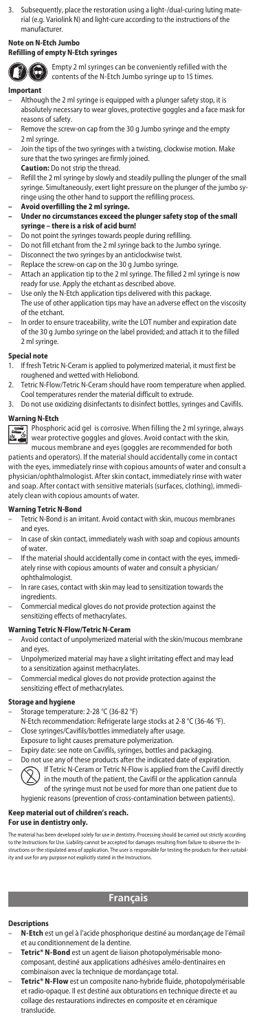3. Subsequently, place the restoration using a light-/dual-curing luting material (e.g. Variolink N) and light-cure according to the instructions of the manufacturer.

# **Note on N-Etch Jumbo**

# **Refilling of empty N-Etch syringes**



Empty 2 ml syringes can be conveniently refilled with the contents of the N-Etch Jumbo syringe up to 15 times.

#### **Important**

- Although the 2 ml syringe is equipped with a plunger safety stop, it is absolutely necessary to wear gloves, protective goggles and a face mask for reasons of safety.
- Remove the screw-on cap from the 30 g Jumbo syringe and the empty 2 ml syringe.
- Join the tips of the two syringes with a twisting, clockwise motion. Make sure that the two syringes are firmly joined.
- **Caution:** Do not strip the thread.
- Refill the 2 ml syringe by slowly and steadily pulling the plunger of the small syringe. Simultaneously, exert light pressure on the plunger of the jumbo sy-ringe using the other hand to support the refilling process. **– Avoid overfilling the 2 ml syringe.**
- **Under no circumstances exceed the plunger safety stop of the small syringe there is a risk of acid burn!**
- 
- Do not point the syringes towards people during refilling.
- Do not fill etchant from the 2 ml syringe back to the Jumbo syringe. Disconnect the two syringes by an anticlockwise twist.
- 
- Replace the screw-on cap on the 30 g Jumbo syringe. – Attach an application tip to the 2 ml syringe. The filled 2 ml syringe is now ready for use. Apply the etchant as described above.
- Use only the N-Etch application tips delivered with this package. The use of other application tips may have an adverse effect on the viscosity
- of the etchant.
- In order to ensure traceability, write the LOT number and expiration date of the 30 g Jumbo syringe on the label provided; and attach it to the filled 2 ml syringe.

# **Special note**

- 1. If fresh Tetric N-Ceram is applied to polymerized material, it must first be roughened and wetted with Heliobond.
- 2. Tetric N-Flow/Tetric N-Ceram should have room temperature when applied. Cool temperatures render the material difficult to extrude.
- 3. Do not use oxidizing disinfectants to disinfect bottles, syringes and Cavifils.

# **Warning N-Etch**

Phosphoric acid gel is corrosive. When filling the 2 ml syringe, always wear protective goggles and gloves. Avoid contact with the skin, mucous membrane and eyes (goggles are recommended for both

patients and operators). If the material should accidentally come in contact with the eyes, immediately rinse with copious amounts of water and consult a physician/ophthalmologist. After skin contact, immediately rinse with water and soap. After contact with sensitive materials (surfaces, clothing), immediately clean with copious amounts of water.

# **Warning Tetric N-Bond**

- Tetric N-Bond is an irritant. Avoid contact with skin, mucous membranes and eyes.
- In case of skin contact, immediately wash with soap and copious amounts of water.
- If the material should accidentally come in contact with the eyes, immediately rinse with copious amounts of water and consult a physician/ ophthalmologist.
- In rare cases, contact with skin may lead to sensitization towards the ingredients.
- Commercial medical gloves do not provide protection against the sensitizing effects of methacrylates

# **Warning Tetric N-Flow/Tetric N-Ceram**

- Avoid contact of unpolymerized material with the skin/mucous membrane and eyes.
- Unpolymerized material may have a slight irritating effect and may lead
- to a sensitization against methacrylates. Commercial medical gloves do not provide protection against the sensitizing effect of methacrylates.

# **Storage and hygiene**

- Storage temperature: 2-28 °C (36-82 °F)
- N-Etch recommendation: Refrigerate large stocks at 2-8 °C (36-46 °F).
- 
- Close syringes/Cavifils/bottles immediately after usage. Exposure to light causes premature polymerization.
- Expiry date: see note on Cavifils, syringes, bottles and packaging.
- Do not use any of these products after the indicated date of expiration. – If Tetric N-Ceram or Tetric N-Flow is applied from the Cavifil directly in the mouth of the patient, the Cavifil or the application cannula of the syringe must not be used for more than one patient due to hygienic reasons (prevention of cross-contamination between patients).

## **Keep material out of children's reach.**

# **For use in dentistry only.**

The material has been developed solely for use in dentistry. Processing should be carried out strictly according<br>to the Instructions for Use. Liability cannot be accepted for damages resulting from failure to observe the I

# **Français**

#### **Descriptions**

- **N-Etch** est un gel à l'acide phosphorique destiné au mordançage de l'émail et au conditionnement de la dentine.
- **Tetric® N-Bond** est un agent de liaison photopolymérisable monocomposant, destiné aux applications adhésives amélo-dentinaires en combinaison avec la technique de mordançage total.
- **Tetric® N-Flow** est un composite nano-hybride fluide, photopolymérisable et radio-opaque. Il est destiné aux obturations en technique directe et au collage des restaurations indirectes en composite et en céramique translucide.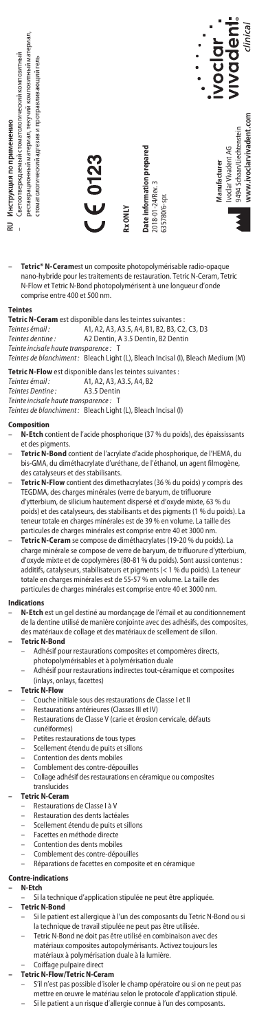

– **Tetric® N-Ceram**est un composite photopolymérisable radio-opaque nano-hybride pour les traitements de restauration. Tetric N-Ceram, Tetric N-Flow et Tetric N-Bond photopolymérisent à une longueur d'onde comprise entre 400 et 500 nm.

# **Teintes**

**Tetric N-Ceram** est disponible dans les teintes suivantes :<br> *Teintes émail :* A1, A2, A3, A3.5, A4, B1, B2, B3, C2

- *Teintes émail :* A1, A2, A3, A3.5, A4, B1, B2, B3, C2, C3, D3 *Teintes dentine :* A2 Dentin, A 3.5 Dentin, B2 Dentin
- 

 $T$ einte incisale haute transparence :

*Teintes de blanchiment :* Bleach Light (L), Bleach Incisal (I), Bleach Medium (M)

**Tetric N-Flow** est disponible dans les teintes suivantes : *Teintes émail :* A1, A2, A3, A3.5, A4, B2

*Teintes Dentine :* A3.5 Dentin  $T$ einte incisale haute transparence :

*Teintes de blanchiment :* Bleach Light (L), Bleach Incisal (I)

#### **Composition**

- **N-Etch** contient de l'acide phosphorique (37 % du poids), des épaississants et des pigments.
- **Tetric N-Bond** contient de l'acrylate d'acide phosphorique, de l'HEMA, du bis-GMA, du diméthacrylate d'uréthane, de l'éthanol, un agent filmogène, des catalyseurs et des stabilisants.
- **Tetric N-Flow** contient des dimethacrylates (36 % du poids) y compris des TEGDMA, des charges minérales (verre de baryum, de trifluorure d'ytterbium, de silicium hautement dispersé et d'oxyde mixte, 63 % du poids) et des catalyseurs, des stabilisants et des pigments (1 % du poids). La teneur totale en charges minérales est de 39 % en volume. La taille des particules de charges minérales est comprise entre 40 et 3000 nm.
- **Tetric N-Ceram** se compose de diméthacrylates (19-20 % du poids). La charge minérale se compose de verre de baryum, de trifluorure d'ytterbium, d'oxyde mixte et de copolymères (80-81 % du poids). Sont aussi contenus : additifs, catalyseurs, stabilisateurs et pigments (< 1 % du poids). La teneur totale en charges minérales est de 55-57 % en volume. La taille des particules de charges minérales est comprise entre 40 et 3000 nm.

#### dicatio

- **N-Etch** est un gel destiné au mordançage de l'émail et au conditionnement de la dentine utilisé de manière conjointe avec des adhésifs, des composites,
	- des matériaux de collage et des matériaux de scellement de sillon. **– Tetric N-Bond**

- Adhésif pour restaurations composites et compomères directs, photopolymérisables et à polymérisation duale
- Adhésif pour restaurations indirectes tout-céramique et composites (inlays, onlays, facettes)

### **– Tetric N-Flow**

- Couche initiale sous des restaurations de Classe I et II
- Restaurations antérieures (Classes III et IV)
- Restaurations de Classe V (carie et érosion cervicale, défauts cunéiformes)
- Petites restaurations de tous types
- Scellement étendu de puits et sillons
- Contention des dents mobiles
- Comblement des contre-dépouilles
- Collage adhésif des restaurations en céramique ou composites translucides

## **– Tetric N-Ceram**

- Restaurations de Classe I à V
- Restauration des dents lactéales
- Scellement étendu de puits et sillons
- Facettes en méthode directe
- Contention des dents mobiles
- Comblement des contre-dépouilles
- Réparations de facettes en composite et en céramique

# **Contre-indications**

# **– N-Etch**

– Si la technique d'application stipulée ne peut être appliquée.

# **– Tetric N-Bond**

- Si le patient est allergique à l'un des composants du Tetric N-Bond ou si
- la technique de travail stipulée ne peut pas être utilisée. Tetric N-Bond ne doit pas être utilisé en combinaison avec des
	- matériaux composites autopolymérisants. Activez toujours les matériaux à polymérisation duale à la lumière.

#### – Coiffage pulpaire direct **– Tetric N-Flow/Tetric N-Ceram**

- - S'il n'est pas possible d'isoler le champ opératoire ou si on ne peut pas mettre en œuvre le matériau selon le protocole d'application stipulé.
		- Si le patient a un risque d'allergie connue à l'un des composants.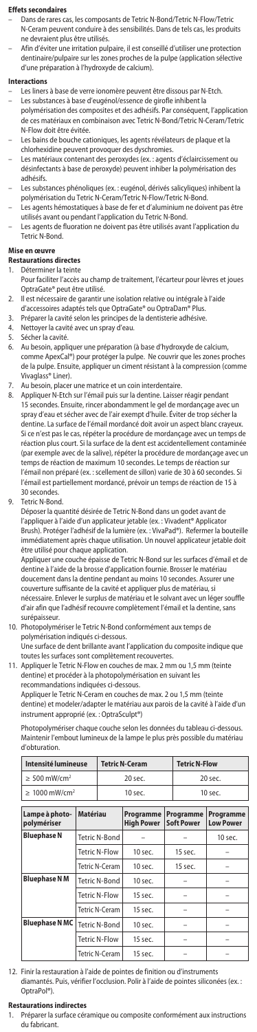#### **Effets secondaires**

- Dans de rares cas, les composants de Tetric N-Bond/Tetric N-Flow/Tetric N-Ceram peuvent conduire à des sensibilités. Dans de tels cas, les produits ne devraient plus être utilisés.
- Afin d'éviter une irritation pulpaire, il est conseillé d'utiliser une protection dentinaire/pulpaire sur les zones proches de la pulpe (application sélective d'une préparation à l'hydroxyde de calcium).

#### **Interactions**

- Les liners à base de verre ionomère peuvent être dissous par N-Etch. Les substances à base d'eugénol/essence de girofle inhibent la polymérisation des composites et des adhésifs. Par conséquent, l'application
- 
- de ces matériaux en combinaison avec Tetric N-Bond/Tetric N-Ceram/Tetric N-Flow doit être évitée.
- Les bains de bouche cationiques, les agents révélateurs de plaque et la
- chlorhexidine peuvent provoquer des dyschromies. Les matériaux contenant des peroxydes (ex. : agents d'éclaircissement ou désinfectants à base de peroxyde) peuvent inhiber la polymérisation des adhésifs.
- Les substances phénoliques (ex. : eugénol, dérivés salicyliques) inhibent la polymérisation du Tetric N-Ceram/Tetric N-Flow/Tetric N-Bond.
- Les agents hémostatiques à base de fer et d'aluminium ne doivent pas être utilisés avant ou pendant l'application du Tetric N-Bond.
- Les agents de fluoration ne doivent pas être utilisés avant l'application du Tetric N-Bond.

# **Mise en œuvre**

# **Restaurations directes**

- 1. Déterminer la teinte
	- Pour faciliter l'accès au champ de traitement, l'écarteur pour lèvres et joues OptraGate® peut être utilisé.
- 2. Il est nécessaire de garantir une isolation relative ou intégrale à l'aide<br>d'accessoires adantés tels que OntraGate® ou OntraDam® Plus
	- d'accessoires adaptés tels que OptraGate® ou OptraDam®
- 3. Préparer la cavité selon les principes de la dentisterie adhésive.
- 4. Nettoyer la cavité avec un spray d'eau.<br>5. Sécher la cavité.
- 5. Sécher la cavité.<br>6. Au besoin, appli
- Au besoin, appliquer une préparation (à base d'hydroxyde de calci comme ApexCal®) pour protéger la pulpe. Ne couvrir que les zones proches de la pulpe. Ensuite, appliquer un ciment résistant à la compression (comme Vivaglass® Liner).
- Au besoin, placer une matrice et un coin interdentaire
- 8. Appliquer N-Etch sur l'émail puis sur la dentine. Laisser réagir pendant 15 secondes. Ensuite, rincer abondamment le gel de mordançage avec un spray d'eau et sécher avec de l'air exempt d'huile. Éviter de trop sécher la dentine. La surface de l'émail mordancé doit avoir un aspect blanc crayeux. Si ce n'est pas le cas, répéter la procédure de mordançage avec un temps de réaction plus court. Si la surface de la dent est accidentellement contaminée<br>(par exemple avec de la salive), répéter la procédure de mordancage avec u .<br>nple avec de la salive), répéter la procédure de mordançage avec un temps de réaction de maximum 10 secondes. Le temps de réaction sur l'émail non préparé (ex. : scellement de sillon) varie de 30 à 60 secondes. Si l'émail est partiellement mordancé, prévoir un temps de réaction de 15 à 30 secondes.
- 9. Tetric N-Bond.

Déposer la quantité désirée de Tetric N-Bond dans un godet avant de l'appliquer à l'aide d'un applicateur jetable (ex. : Vivadent® Applicator Brush). Protéger l'adhésif de la lumière (ex. : VivaPad®). Refermer la bouteille immédiatement après chaque utilisation. Un nouvel applicateur jetable doit être utilisé pour chaque application.

Appliquer une couche épaisse de Tetric N-Bond sur les surfaces d'émail et de dentine à l'aide de la brosse d'application fournie. Brosser le matériau doucement dans la dentine pendant au moins 10 secondes. Assurer une couverture suffisante de la cavité et appliquer plus de matériau, si nécessaire. Enlever le surplus de matériau et le solvant avec un léger souffle d'air afin que l'adhésif recouvre complètement l'émail et la dentine, sans surépaisseur.

10. Photopolymériser le Tetric N-Bond conformément aux temps de polymérisation indiqués ci-dessous.

Une surface de dent brillante avant l'application du composite indique que toutes les surfaces sont complètement recouvertes.

11. Appliquer le Tetric N-Flow en couches de max. 2 mm ou 1,5 mm (teinte dentine) et procéder à la photopolymérisation en suivant les recommandations indiquées ci-dessous.

Appliquer le Tetric N-Ceram en couches de max. 2 ou 1,5 mm (teinte dentine) et modeler/adapter le matériau aux parois de la cavité à l'aide d'un instrument approprié (ex. : OptraSculpt®)

Photopolymériser chaque couche selon les données du tableau ci-dessous. Maintenir l'embout lumineux de la lampe le plus près possible du matériau d'obturation.

| Intensité lumineuse            | <b>Tetric N-Ceram</b> | <b>Tetric N-Flow</b> |  |
|--------------------------------|-----------------------|----------------------|--|
| $\geq 500$ mW/cm <sup>2</sup>  | 20 sec.               | 20 sec.              |  |
| $\geq 1000$ mW/cm <sup>2</sup> | $10$ sec.             | $10$ sec.            |  |

| Lampe à photo-<br>polymériser | <b>Matériau</b>      | Programme<br><b>High Power</b> | Programme<br><b>Soft Power</b> | Programme<br><b>Low Power</b> |
|-------------------------------|----------------------|--------------------------------|--------------------------------|-------------------------------|
| <b>Bluephase N</b>            | Tetric N-Bond        |                                |                                | 10 sec.                       |
|                               | Tetric N-Flow        | $10$ sec.                      | 15 sec.                        |                               |
|                               | Tetric N-Ceram       | $10$ sec.                      | 15 sec.                        |                               |
| <b>Bluephase NM</b>           | Tetric N-Bond        | $10$ sec.                      |                                |                               |
|                               | Tetric N-Flow        | 15 sec.                        |                                |                               |
|                               | Tetric N-Ceram       | 15 sec.                        |                                |                               |
| <b>Bluephase N MC</b>         | Tetric N-Bond        | $10$ sec.                      |                                |                               |
|                               | <b>Tetric N-Flow</b> | 15 sec.                        |                                |                               |
|                               | Tetric N-Ceram       | 15 sec.                        |                                |                               |

12. Finir la restauration à l'aide de pointes de finition ou d'instruments diamantés. Puis, vérifier l'occlusion. Polir à l'aide de pointes siliconées (ex. : OptraPol®).

#### **Restaurations indirectes**

1. Préparer la surface céramique ou composite conformément aux instructions du fabricant.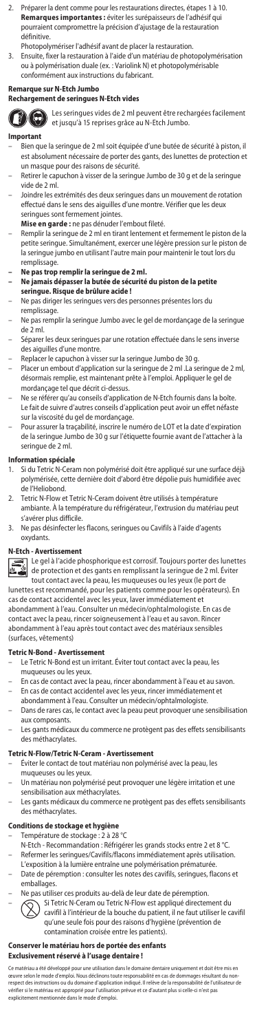- 2. Préparer la dent comme pour les restaurations directes, étapes 1 à 10. **Remarques importantes :** éviter les surépaisseurs de l'adhésif qui pourraient compromettre la précision d'ajustage de la restauration définitive.
- Photopolymériser l'adhésif avant de placer la restauration. 3. Ensuite, fixer la restauration à l'aide d'un matériau de photopolymérisation ou à polymérisation duale (ex. : Variolink N) et photopolymérisable conformément aux instructions du fabricant.

# **Remarque sur N-Etch Jumbo Rechargement de seringues N-Etch vides**



Les seringues vides de 2 ml peuvent être rechargées facilement et jusqu'à 15 reprises grâce au N-Etch Jumbo.

### **Important**

- Bien que la seringue de 2 ml soit équipée d'une butée de sécurité à piston, il est absolument nécessaire de porter des gants, des lunettes de protection et un masque pour des raisons de sécurité.
- Retirer le capuchon à visser de la seringue Jumbo de 30 g et de la seringue vide de 2 ml.
- Joindre les extrémités des deux seringues dans un mouvement de rotation effectué dans le sens des aiguilles d'une montre. Vérifier que les deux seringues sont fermement jointes.
- **Mise en garde :** ne pas dénuder l'embout fileté.
- Remplir la seringue de 2 ml en tirant lentement et fermement le piston de la petite seringue. Simultanément, exercer une légère pression sur le piston de la seringue jumbo en utilisant l'autre main pour maintenir le tout lors du remplissage.
- 
- **Ne pas trop remplir la seringue de 2 ml. Ne jamais dépasser la butée de sécurité du piston de la petite seringue. Risque de brûlure acide !**
- Ne pas diriger les seringues vers des personnes présentes lors du remplissage.
- Ne pas remplir la seringue Jumbo avec le gel de mordançage de la seringue de 2 ml.
- Séparer les deux seringues par une rotation effectuée dans le sens inverse des aiguilles d'une montre.
- 
- Replacer le capuchon à visser sur la seringue Jumbo de 30 g. Placer un embout d'application sur la seringue de 2 ml .La seringue de 2 ml, désormais remplie, est maintenant prête à l'emploi. Appliquer le gel de
- mordançage tel que décrit ci-dessus. Ne se référer qu'au conseils d'application de N-Etch fournis dans la boîte. Le fait de suivre d'autres conseils d'application peut avoir un effet néfaste
- sur la viscosité du gel de mordançage. Pour assurer la traçabilité, inscrire le numéro de LOT et la date d'expiration de la seringue Jumbo de 30 g sur l'étiquette fournie avant de l'attacher à la seringue de 2 ml.

# **Information spéciale**<br>1 Si du Tetric N-Cera

- Si du Tetric N-Ceram non polymérisé doit être appliqué sur une surface déjà polymérisée, cette dernière doit d'abord être dépolie puis humidifiée avec de l'Heliobond.
- 2. Tetric N-Flow et Tetric N-Ceram doivent être utilisés à température ambiante. À la température du réfrigérateur, l'extrusion du matériau peut s'avérer plus difficile.
- 3. Ne pas désinfecter les flacons, seringues ou Cavifils à l'aide d'agents oxydants.

# **N-Etch - Avertissement**



Le gel à l'acide phosphorique est corrosif. Toujours porter des lunettes de protection et des gants en remplissant la seringue de 2 ml. Éviter tout contact avec la peau, les muqueuses ou les yeux (le port de

lunettes est recommandé, pour les patients comme pour les opérateurs). En cas de contact accidentel avec les yeux, laver immédiatement et abondamment à l'eau. Consulter un médecin/ophtalmologiste. En cas de contact avec la peau, rincer soigneusement à l'eau et au savon. Rincer abondamment à l'eau après tout contact avec des matériaux sensibles (surfaces, vêtements)

#### **Tetric N-Bond - Avertissement**

- Le Tetric N-Bond est un irritant. Éviter tout contact avec la peau, les muqueuses ou les yeux.
- En cas de contact avec la peau, rincer abondamment à l'eau et au savon.
- En cas de contact accidentel avec les yeux, rincer immédiatement et abondamment à l'eau. Consulter un médecin/ophtalmologiste.
- Dans de rares cas, le contact avec la peau peut provoquer une sensibilisation aux composants.
- Les gants médicaux du commerce ne protègent pas des effets sensibilisants des méthacrylates.

#### **Tetric N-Flow/Tetric N-Ceram - Avertissement**

- Éviter le contact de tout matériau non polymérisé avec la peau, les muqueuses ou les yeux.
- Un matériau non polymérisé peut provoquer une légère irritation et une sensibilisation aux méthacrylates.
- Les gants médicaux du commerce ne protègent pas des effets sensibilisants des méthacrylates.

# **Conditions de stockage et hygièn**

- Température de stockage : 2 à 28 °C
- 
- N-Etch Recommandation : Réfrigérer les grands stocks entre 2 et 8 °C. Refermer les seringues/Cavifils/flacons immédiatement après utilisation.
- L'exposition à la lumière entraîne une polymérisation prématurée. – Date de péremption : consulter les notes des cavifils, seringues, flacons et
- emballages.
- Ne pas utiliser ces produits au-delà de leur date de péremption.
- Si Tetric N-Ceram ou Tetric N-Flow est appliqué directement du cavifil à l'intérieur de la bouche du patient, il ne faut utiliser le cavifil qu'une seule fois pour des raisons d'hygiène (prévention de contamination croisée entre les patients).

### **Conserver le matériau hors de portée des enfants Exclusivement réservé à l'usage dentaire !**

Ce matériau a été développé pour une utilisation dans le domaine dentaie uniquement et doit être mis en<br>œuvre selon le mode d'emploi. Nous déclinons toute responsabilité en cas de dommages résultant du non-<br>respect des ins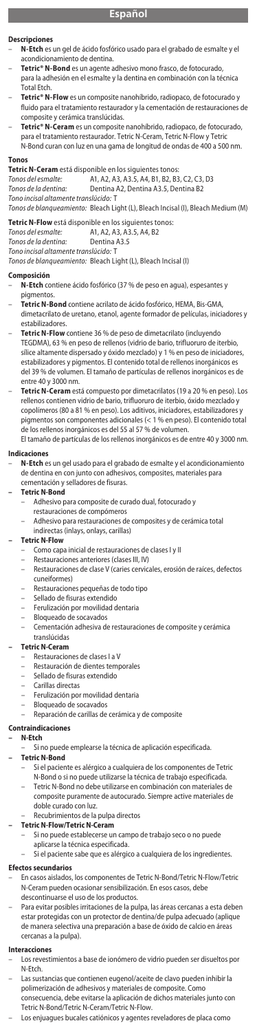### **Descripciones**

- **N-Etch** es un gel de ácido fosfórico usado para el grabado de esmalte y el acondicionamiento de dentina.
- **Tetric® N-Bond** es un agente adhesivo mono frasco, de fotocurado,
- para la adhesión en el esmalte y la dentina en combinación con la técnica .<br>Total Etch.
- **Tetric® N-Flow** es un composite nanohíbrido, radiopaco, de fotocurado y fluido para el tratamiento restaurador y la cementación de restauraciones de composite y cerámica translúcidas.
- **Tetric® N-Ceram** es un composite nanohíbrido, radiopaco, de fotocurado, para el tratamiento restaurador. Tetric N-Ceram, Tetric N-Flow y Tetric N-Bond curan con luz en una gama de longitud de ondas de 400 a 500 nm.

**Tonos Tetric N-Ceram** está disponible en los siguientes tonos: *Tonos del esmalte:* A1, A2, A3, A3.5, A4, B1, B2, B3, C2, C3, D3

- 
- *Tonos de la dentina:* Dentina A2, Dentina A3.5, Dentina B2

*Tono incisal altamente translúcido:* T *Tonos de blanqueamiento:* Bleach Light (L), Bleach Incisal (I), Bleach Medium (M)

**Tetric N-Flow** está disponible en los siguientes tonos:<br>Tonos del esmalte: <br>A1. A2. A3. A3.5. A4. B2

# *Tonos del esmalte:* A1, A2, A3, A3.5, A4, B2

- **Tonos de la dentina:**
- *Tono incisal altamente translúcido:* T

*Tonos de blanqueamiento:* Bleach Light (L), Bleach Incisal (I)

# **Composición**

- **N-Etch** contiene ácido fosfórico (37 % de peso en agua), espesantes y
- pigmentos.<br>Tetric N-Bo – **Tetric N-Bond** contiene acrilato de ácido fosfórico, HEMA, Bis-GMA, dimetacrilato de uretano, etanol, agente formador de películas, iniciadores y estabilizadores.
- **Tetric N-Flow** contiene 36 % de peso de dimetacrilato (incluyendo TEGDMA), 63 % en peso de rellenos (vidrio de bario, trifluoruro de iterbio, sílice altamente dispersado y óxido mezclado) y 1 % en peso de iniciadores, estabilizadores y pigmentos. El contenido total de rellenos inorgánicos es del 39 % de volumen. El tamaño de partículas de rellenos inorgánicos es de entre 40 y 3000 nm.
- **Tetric N-Ceram** está compuesto por dimetacrilatos (19 a 20 % en peso). Los rellenos contienen vidrio de bario, trifluoruro de iterbio, óxido mezclado y copolímeros (80 a 81 % en peso). Los aditivos, iniciadores, estabilizadores y pigmentos son componentes adicionales (< 1 % en peso). El contenido total de los rellenos inorgánicos es del 55 al 57 % de volumen. El tamaño de partículas de los rellenos inorgánicos es de entre 40 y 3000 nm

#### **Indicaciones**

– **N-Etch** es un gel usado para el grabado de esmalte y el acondicionamiento de dentina en con junto con adhesivos, composites, materiales para cementación y selladores de fisuras.

#### **– Tetric N-Bond**

- Adhesivo para composite de curado dual, fotocurado y
- restauraciones de compómeros
	- Adhesivo para restauraciones de composites y de cerámica total
- indirectas (inlays, onlays, carillas)

# **– Tetric N-Flow**

- Como capa inicial de restauraciones de clases I y II
- 
- Restauraciones anteriores (clases III, IV) Restauraciones de clase V (caries cervicales, erosión de raíces, defectos cuneiformes)
- Restauraciones pequeñas de todo tipo
- Sellado de fisuras extendido
- Ferulización por movilidad dentaria
- Bloqueado de socavados
- Cementación adhesiva de restauraciones de composite y cerámica translúcidas

#### **– Tetric N-Ceram**

- Restauraciones de clases I a V
- Restauración de dientes temporales
- Sellado de fisuras extendido
- Carillas directas
- Ferulización por movilidad dentari
- Bloqueado de socavados
- Reparación de carillas de cerámica y de composite

### **Contraindicaciones**

#### **– N-Etch**

– Si no puede emplearse la técnica de aplicación especificada.

# **– Tetric N-Bond**

- Si el paciente es alérgico a cualquiera de los componentes de Tetric N-Bond o si no puede utilizarse la técnica de trabajo especificada. – Tetric N-Bond no debe utilizarse en combinación con materiales de
- composite puramente de autocurado. Siempre active materiales de doble curado con luz.

#### Recubrimientos de la pulpa directos<br> **ric N-Flow/Tetric N-Ceram – Tetric N-Flow/Tetric N-Ceram**

- Si no puede establecerse un campo de trabajo seco o no puede
	- aplicarse la técnica especificada.
- Si el paciente sabe que es alérgico a cualquiera de los ingredientes.

# **Efectos secundarios**

- En casos aislados, los componentes de Tetric N-Bond/Tetric N-Flow/Tetric N-Ceram pueden ocasionar sensibilización. En esos casos, debe descontinuarse el uso de los productos.
- Para evitar posibles irritaciones de la pulpa, las áreas cercanas a esta deben estar protegidas con un protector de dentina/de pulpa adecuado (aplique de manera selectiva una preparación a base de óxido de calcio en áreas cercanas a la pulpa).

# **Interaccione**

- Los revestimientos a base de ionómero de vidrio pueden ser disueltos por N-Etch.
- Las sustancias que contienen eugenol/aceite de clavo pueden inhibir la polimerización de adhesivos y materiales de composite. Como consecuencia, debe evitarse la aplicación de dichos materiales junto con Tetric N-Bond/Tetric N-Ceram/Tetric N-Flow.
- Los enjuagues bucales catiónicos y agentes reveladores de placa com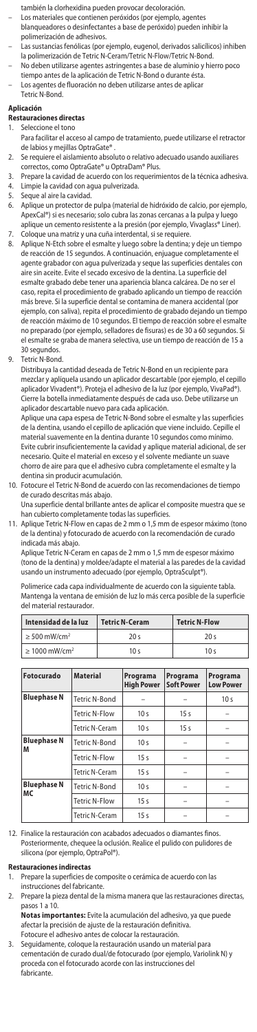- también la clorhexidina pueden provocar decoloración.
- Los materiales que contienen peróxidos (por ejemplo, agentes blanqueadores o desinfectantes a base de peróxido) pueden inhibir la polimerización de adhesivos.
- Las sustancias fenólicas (por ejemplo, eugenol, derivados salicílicos) inhiben la polimerización de Tetric N-Ceram/Tetric N-Flow/Tetric N-Bond.
- .<br>o deben utilizarse agentes astringentes a base de aluminio y hierro poco tiempo antes de la aplicación de Tetric N-Bond o durante ésta.
- Los agentes de fluoración no deben utilizarse antes de aplicar Tetric N-Bond.

### **Aplicación**

# **Restauraciones directas**

- 1. Seleccione el tono
- Para facilitar el acceso al campo de tratamiento, puede utilizarse el retractor de labios y mejillas OptraGate®
- 2. Se requiere el aislamiento absoluto o relativo adecuado usando auxiliares correctos, como OptraGate® u OptraDam® Plus.
- 
- 3. Prepare la cavidad de acuerdo con los requerimientos de la técnica adhesiva. 4. Limpie la cavidad con agua pulverizada.
- 5. Seque al aire la cavidad.<br>6. Aplique un protector de
- 6. Aplique un protector de pulpa (material de hidróxido de calcio, por ejemplo, ApexCal®) si es necesario; solo cubra las zonas cercanas a la pulpa y luego aplique un cemento resistente a la presión (por ejemplo, Vivaglass® Liner)
- 7. Coloque una matriz y una cuña interdental, si se requiere. 8. Aplique N-Etch sobre el esmalte y luego sobre la dentina; y deje un tiempo de reacción de 15 segundos. A continuación, enjuague completamente el agente grabador con agua pulverizada y seque las superficies dentales con aire sin aceite. Evite el secado excesivo de la dentina. La superficie del esmalte grabado debe tener una apariencia blanca calcárea. De no ser el caso, repita el procedimiento de grabado aplicando un tiempo de reacción más breve. Si la superficie dental se contamina de manera accidental (por ejemplo, con saliva), repita el procedimiento de grabado dejando un tiempo de reacción máximo de 10 segundos. El tiempo de reacción sobre el esmalte no preparado (por ejemplo, selladores de fisuras) es de 30 a 60 segundos. Si el esmalte se graba de manera selectiva, use un tiempo de reacción de 15 a 30 segundos.
- 9. Tetric N-Bond.

Distribuya la cantidad deseada de Tetric N-Bond en un recipiente para mezclar y aplíquela usando un aplicador descartable (por ejemplo, el cepillo aplicador Vivadent®). Proteja el adhesivo de la luz (por ejemplo, VivaPad®). Cierre la botella inmediatamente después de cada uso. Debe utilizarse un aplicador descartable nuevo para cada aplicación. Aplique una capa espesa de Tetric N-Bond sobre el esmalte y las superficies

de la dentina, usando el cepillo de aplicación que viene incluido. Cepille el material suavemente en la dentina durante 10 segundos como mínimo. Evite cubrir insuficientemente la cavidad y aplique material adicional, de ser necesario. Quite el material en exceso y el solvente mediante un suave chorro de aire para que el adhesivo cubra completamente el esmalte y la dentina sin producir acumulación.

- 10. Fotocure el Tetric N-Bond de acuerdo con las recomendaciones de tiempo de curado descritas más abajo.
	- Una superficie dental brillante antes de aplicar el composite muestra que se han cubierto completamente todas las superficies.
- 11. Aplique Tetric N-Flow en capas de 2 mm o 1,5 mm de espesor máximo (tono de la dentina) y fotocurado de acuerdo con la recomendación de curado indicada más abajo.

Aplique Tetric N-Ceram en capas de 2 mm o 1,5 mm de espesor máximo (tono de la dentina) y moldee/adapte el material a las paredes de la cavidad usando un instrumento adecuado (por ejemplo, OptraSculpt®).

Polimerice cada capa individualmente de acuerdo con la siguiente tabla. Mantenga la ventana de emisión de luz lo más cerca posible de la superficie del material restaurador.

| Intensidad de la luz           | <b>Tetric N-Ceram</b> | <b>Tetric N-Flow</b> |  |
|--------------------------------|-----------------------|----------------------|--|
| $\geq$ 500 mW/cm <sup>2</sup>  | 20 <sup>5</sup>       | 20 s                 |  |
| $\geq 1000$ mW/cm <sup>2</sup> | 10 <sub>s</sub>       | 10 <sub>s</sub>      |  |

| Fotocurado               | <b>Material</b>       | Programa<br><b>High Power</b> | Programa<br><b>Soft Power</b> | Programa<br><b>Low Power</b> |
|--------------------------|-----------------------|-------------------------------|-------------------------------|------------------------------|
| <b>Bluephase N</b>       | <b>Tetric N-Bond</b>  |                               |                               | 10 <sub>s</sub>              |
|                          | <b>Tetric N-Flow</b>  | 10 <sub>s</sub>               | 15 <sub>s</sub>               |                              |
|                          | Tetric N-Ceram        | 10 <sub>s</sub>               | 15 <sub>s</sub>               |                              |
| <b>Bluephase N</b><br>M  | Tetric N-Bond         | 10 <sub>s</sub>               |                               |                              |
|                          | <b>Tetric N-Flow</b>  | 15 <sub>s</sub>               |                               |                              |
|                          | Tetric N-Ceram        | 15 <sub>s</sub>               |                               |                              |
| <b>Bluephase N</b><br>МC | <b>Tetric N-Bond</b>  | 10 <sub>s</sub>               |                               |                              |
|                          | <b>Tetric N-Flow</b>  | 15 <sub>s</sub>               | -                             |                              |
|                          | <b>Tetric N-Ceram</b> | 15 <sub>s</sub>               |                               |                              |

12. Finalice la restauración con acabados adecuados o diamantes finos. Posteriormente, chequee la oclusión. Realice el pulido con pulidores de silicona (por ejemplo, OptraPol®).

# **Restauraciones indirectas**

- 1. Prepare la superficies de composite o cerámica de acuerdo con las instrucciones del fabricante.
- 2. Prepare la pieza dental de la misma manera que las restauraciones directas, pasos 1 a 10.

**Notas importantes:** Evite la acumulación del adhesivo, ya que puede afectar la precisión de ajuste de la restauración definitiva. Fotocure el adhesivo antes de colocar la restauración.

3. Seguidamente, coloque la restauración usando un material para cementación de curado dual/de fotocurado (por ejemplo, Variolink N) y proceda con el fotocurado acorde con las instrucciones del fabricante.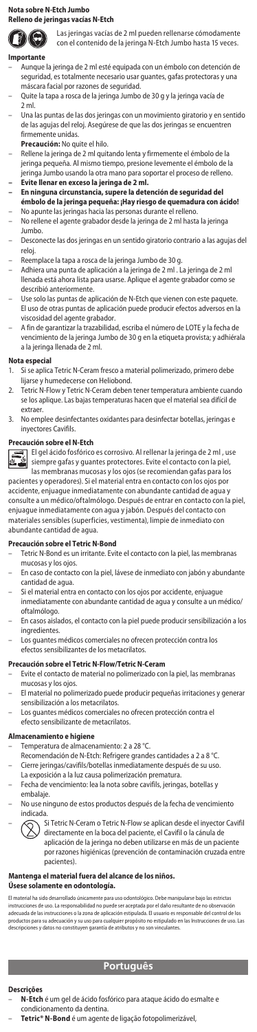## **Nota sobre N-Etch Jumbo**

# **Relleno de jeringas vacías N-Etch**

 $\mathbf{D} \mathbf{\Theta}$ Las jeringas vacías de 2 ml pueden rellenarse cómodamente con el contenido de la jeringa N-Etch Jumbo hasta 15 veces.

# **Importante**

- Aunque la jeringa de 2 ml esté equipada con un émbolo con detención de seguridad, es totalmente necesario usar guantes, gafas protectoras y una máscara facial por razones de seguridad.
- Quite la tapa a rosca de la jeringa Jumbo de 30 g y la jeringa vacía de 2 ml.
- Una las puntas de las dos jeringas con un movimiento giratorio y en sentido de las agujas del reloj. Asegúrese de que las dos jeringas se encuentren firmemente unidas.
- **Precaución:** No quite el hilo.
- Rellene la jeringa de 2 ml quitando lenta y firmemente el émbolo de la jeringa pequeña. Al mismo tiempo, presione levemente el émbolo de la jeringa Jumbo usando la otra mano para soportar el proceso de relleno.
- 
- **Evite llenar en exceso la jeringa de 2 ml. En ninguna circunstancia, supere la detención de seguridad del émbolo de la jeringa pequeña: ¡Hay riesgo de quemadura con ácido!**
- No apunte las jeringas hacia las personas durante el relleno. No rellene el agente grabador desde la jeringa de 2 ml hasta la jeringa Jumbo.
- Desconecte las dos jeringas en un sentido giratorio contrario a las agujas del reloj.
- Reemplace la tapa a rosca de la jeringa Jumbo de 30 g.
- Adhiera una punta de aplicación a la jeringa de 2 ml . La jeringa de 2 ml llenada está ahora lista para usarse. Aplique el agente grabador como se describió anteriormente.
- Use solo las puntas de aplicación de N-Etch que vienen con este paqu El uso de otras puntas de aplicación puede producir efectos adversos en la viscosidad del agente grabador.
- A fin de garantizar la trazabilidad, escriba el número de LOTE y la fecha de vencimiento de la jeringa Jumbo de 30 g en la etiqueta provista; y adhiérala a la jeringa llenada de 2 ml.

# **Nota especial**<br>1. Si se aplica

- 1. Si se aplica Tetric N-Ceram fresco a material polimerizado, primero debe lijarse y humedecerse con Heliobond.
- 2. Tetric N-Flow y Tetric N-Ceram deben tener temperatura ambiente cuando se los aplique. Las bajas temperaturas hacen que el material sea difícil de extraer.
- 3. No emplee desinfectantes oxidantes para desinfectar botellas, jeringas e inyectores Cavifils.

## **Precaución sobre el N-Etch**



El gel ácido fosfórico es corrosivo. Al rellenar la jeringa de 2 ml , use siempre gafas y guantes protectores. Evite el contacto con la piel, las membranas mucosas y los ojos (se recomiendan gafas para los

pacientes y operadores). Si el material entra en contacto con los ojos por accidente, enjuague inmediatamente con abundante cantidad de agua y consulte a un médico/oftalmólogo. Después de entrar en contacto con la piel, enjuague inmediatamente con agua y jabón. Después del contacto con materiales sensibles (superficies, vestimenta), limpie de inmediato con abundante cantidad de agua.

# **Precaución sobre el Tetric N-Bond**

- Tetric N-Bond es un irritante. Evite el contacto con la piel, las membranas mucosas y los ojos.
- En caso de contacto con la piel, lávese de inmediato con jabón y abundante cantidad de agua.
- Si el material entra en contacto con los ojos por accidente, enjuague inmediatamente con abundante cantidad de agua y consulte a un médico/
- oftalmólogo. – En casos aislados, el contacto con la piel puede producir sensibilización a los
- ingredientes. Los guantes médicos comerciales no ofrecen protección contra los efectos sensibilizantes de los metacrilatos.

- **Precaución sobre el Tetric N-Flow/Tetric N-Ceram**<br>– Evite el contacto de material no polimerizado con la piel, las membranas mucosas y los ojos.
- El material no polimerizado puede producir pequeñas irritaciones y generar sensibilización a los metacrilatos.
- Los guantes médicos comerciales no ofrecen protección contra el efecto sensibilizante de metacrilatos.

# **Almacenamiento e higiene**

- Temperatura de almacenamiento: 2 a 28 °C.
- Recomendación de N-Etch: Refrigere grandes cantidades a 2 a 8 °C.
- Cierre jeringas/cavifils/botellas inmediatamente después de su uso.
- La exposición a la luz causa polimerización prematura.
- Fecha de vencimiento: lea la nota sobre cavifils, jeringas, botellas y embalaje.
- No use ninguno de estos productos después de la fecha de vencimiento indicada.
- Si Tetric N-Ceram o Tetric N-Flow se aplican desde el inyector Cavifil directamente en la boca del paciente, el Cavifil o la cánula de aplicación de la jeringa no deben utilizarse en más de un paciente por razones higiénicas (prevención de contaminación cruzada entre pacientes).

# **Mantenga el material fuera del alcance de los niños.**

**Úsese solamente en odontología.**

El material ha sido desarrollado únicamente para uso odontológico. Debe manipularse bajo las estrictas<br>instrucciones de uso. La responsabilidad no puede ser aceptada por el daño resultante de no observación<br>adecuada de las productos para su adecuación y su uso para cualquier propósito no estipulado en las Instrucciones de uso. Las<br>descripciones y datos no constituyen garantía de atributos y no son vinculantes.

# **Português**

### **Descrições**

- **N-Etch** é um gel de ácido fosfórico para ataque ácido do esmalte e condicionamento da dentina.
	- **Tetric® N-Bond** é um agente de ligação fotopolimerizável,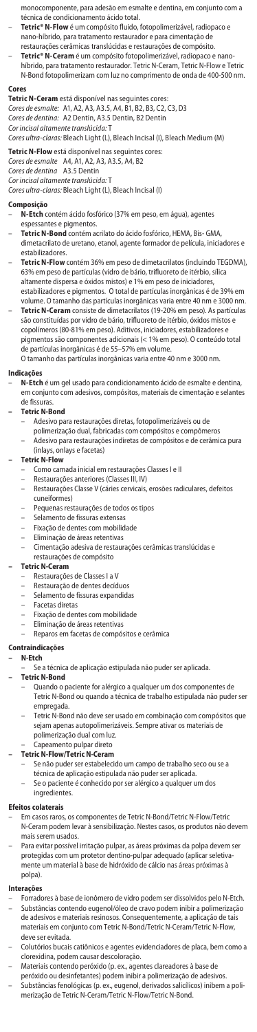monocomponente, para adesão em esmalte e dentina, em conjunto com a técnica de condicionamento ácido total.

– **Tetric® N-Flow** é um compósito fluido, fotopolimerizável, radiopaco e nano-híbrido, para tratamento restaurador e para cimentação d

restaurações cerâmicas translúcidas e restaurações de compósito.

– **Tetric® N-Ceram** é um compósito fotopolimerizável, radiopaco e nano-híbrido, para tratamento restaurador. Tetric N-Ceram, Tetric N-Flow e Tetric N-Bond fotopolimerizam com luz no comprimento de onda de 400-500 nm.

### **Cores**

**Tetric N-Ceram** está disponível nas seguintes cores: *Cores de esmalte:* A1, A2, A3, A3.5, A4, B1, B2, B3, C2, C3, D3

*Cores de dentina:* A2 Dentin, A3.5 Dentin, B2 Dentin *Cor incisal altamente translúcida:* T

*Cores ultra-claras:* Bleach Light (L), Bleach Incisal (I), Bleach Medium (M)

# **Tetric N-Flow** está disponível nas seguintes cores:

*Cores de esmalte* A4, A1, A2, A3, A3.5, A4, B2 *Cores de dentina* A3.5 Dentin

*Cor incisal altamente translúcida:* T

*Cores ultra-claras:* Bleach Light (L), Bleach Incisal (I)

# **Composição**

- **N-Etch** contém ácido fosfórico (37% em peso, em água), agentes espessantes e pigmentos.
- **Tetric N-Bond** contém acrilato do ácido fosfórico, HEMA, Bis- GMA, dimetacrilato de uretano, etanol, agente formador de película, iniciadores e estabilizadores.
- **Tetric N-Flow** contém 36% em peso de dimetacrilatos (incluindo TEGDMA), 63% em peso de partículas (vidro de bário, trifluoreto de itérbio, sílica altamente dispersa e óxidos mistos) e 1% em peso de iniciadore estabilizadores e pigmentos. O total de partículas inorgânicas é de 39% em
- volume. O tamanho das partículas inorgânicas varia entre 40 nm e 3000 nm. **Tetric N-Ceram** consiste de dimetacrilatos (19-20% em peso). As partículas são constituídas por vidro de bário, trifluoreto de itérbio, óxidos mistos e copolímeros (80-81% em peso). Aditivos, iniciadores, estabilizadores e pigmentos são componentes adicionais (< 1% em peso). O conteúdo total de partículas inorgânicas é de 55–57% em volume.

O tamanho das partículas inorgânicas varia entre 40 nm e 3000 nm.

# **Indicações**

– **N-Etch** é um gel usado para condicionamento ácido de esmalte e dentina, em conjunto com adesivos, compósitos, materiais de cimentação e selantes de fissuras.

### **– Tetric N-Bond**

- 
- Adesivo para restaurações diretas, fotopolimerizáveis ou de polimerização dual, fabricadas com compósitos e compômeros
- Adesivo para restaurações indiretas de compósitos e de cerâmica pura (inlays, onlays e facetas)

### **– Tetric N-Flow**

- Como camada inicial em restaurações Classes I e II
- Restaurações anteriores (Classes III, IV)
- Restaurações Classe V (cáries cervicais, erosões radiculares, defeitos cuneiformes)
- Pequenas restaurações de todos os tipos
- Selamento de fissuras extensas
- Fixação de dentes com mobilidade
- 
- Eliminação de áreas retentivas Cimentação adesiva de restaurações cerâmicas translúcidas e restaurações de compósito

# **– Tetric N-Ceram**

- Restaurações de Classes I a V
- Restauração de dentes decíduos
- Selamento de fissuras expandidas
- Facetas diretas
- Fixação de dentes com mobilidade
- 
- Eliminação de áreas retentivas Reparos em facetas de compósitos e cerâmica

# **Contraindicações**

- **N-Etch**
	- Se a técnica de aplicação estipulada não puder ser aplicada.

# **– Tetric N-Bond**

- Quando o paciente for alérgico a qualquer um dos componentes de Tetric N-Bond ou quando a técnica de trabalho estipulada não puder ser empregada.
- Tetric N-Bond não deve ser usado em combinação com compósitos que sejam apenas autopolimerizáveis. Sempre ativar os materiais de polimerização dual com luz.

# – Capeamento pulpar direto **– Tetric N-Flow/Tetric N-Ceram**

- Se não puder ser estabelecido um campo de trabalho seco ou se a técnica de aplicação estipulada não puder ser aplicada.
	- Se o paciente é conhecido por ser alérgico a qualquer um dos ingredientes.

#### **Efeitos colaterais**

- Em casos raros, os componentes de Tetric N-Bond/Tetric N-Flow/Tetric N-Ceram podem levar à sensibilização. Nestes casos, os produtos não devem mais serem usados.
- Para evitar possível irritação pulpar, as áreas próximas da polpa devem ser protegidas com um protetor dentino-pulpar adequado (aplicar seletivamente um material à base de hidróxido de cálcio nas áreas próximas à polpa).

# **Interações**

- Forradores à base de ionômero de vidro podem ser dissolvidos pelo N-Etch. – Substâncias contendo eugenol/óleo de cravo podem inibir a polimerização de adesivos e materiais resinosos. Consequentemente, a aplicação de tais materiais em conjunto com Tetric N-Bond/Tetric N-Ceram/Tetric N-Flow, deve ser evitada.
- Colutórios bucais catiônicos e agentes evidenciadores de placa, bem como a clorexidina, podem causar descoloração.
- Materiais contendo peróxido (p. ex., agentes clareadores à base de peróxido ou desinfetantes) podem inibir a polimerização de adesivos. – Substâncias fenológicas (p. ex., eugenol, derivados salicílicos) inibem a poli-merização de Tetric N-Ceram/Tetric N-Flow/Tetric N-Bond.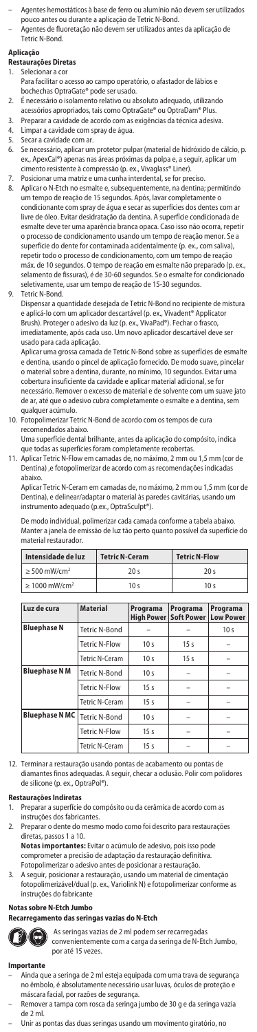- Agentes hemostáticos à base de ferro ou alumínio não devem ser utilizados pouco antes ou durante a aplicação de Tetric N-Bond.
- Agentes de fluoretação não devem ser utilizados antes da aplicação de Tetric N-Bond.

## **Aplicação**

- **Restaurações Diretas**
- Selecionar a co
- Para facilitar o acesso ao campo operatório, o afastador de lábios e bochechas OptraGate® pode ser usado.
- 2. É necessário o isolamento relativo ou absoluto adequado, utilizando acessórios apropriados, tais como OptraGate® ou OptraDam® Plus.
- 3. Preparar a cavidade de acordo com as exigências da técnica adesiva.
- 4. Limpar a cavidade com spray de água.<br>5. Secar a cavidade com ar.
- 5. Secar a cavidade com ar.
- 6. Se necessário, aplicar um protetor pulpar (material de hidróxido de cálcio, p. ex., ApexCal®) apenas nas áreas próximas da polpa e, a seguir, aplicar um cimento resistente à compressão (p. ex., Vivaglass® Liner).
- 7. Posicionar uma matriz e uma cunha interdental, se for preciso. Aplicar o N-Etch no esmalte e, subsequentemente, na dentina; permitindo um tempo de reação de 15 segundos. Após, lavar completamente o condicionante com spray de água e secar as superfícies dos dentes com ar livre de óleo. Evitar desidratação da dentina. A superfície condicionada de esmalte deve ter uma aparência branca opaca. Caso isso não ocorra, repetir o processo de condicionamento usando um tempo de reação menor. Se a superfície do dente for contaminada acidentalmente (p. ex., com saliva), repetir todo o processo de condicionamento, com um tempo de reação máx. de 10 segundos. O tempo de reação em esmalte não preparado (p. ex., selamento de fissuras), é de 30-60 segundos. Se o esmalte for condicionado seletivamente, usar um tempo de reação de 15-30 segundos.
- 9. Tetric N-Bond.

Dispensar a quantidade desejada de Tetric N-Bond no recipiente de mistura e aplicá-lo com um aplicador descartável (p. ex., Vivadent® Applicator Brush). Proteger o adesivo da luz (p. ex., VivaPad®). Fechar o frasco, imediatamente, após cada uso. Um novo aplicador descartável deve ser usado para cada aplicação.

Aplicar uma grossa camada de Tetric N-Bond sobre as superfícies de esmalte e dentina, usando o pincel de aplicação fornecido. De modo suave, pincelar o material sobre a dentina, durante, no mínimo, 10 segundos. Evitar uma cobertura insuficiente da cavidade e aplicar material adicional, se for necessário. Remover o excesso de material e de solvente com um suave jato de ar, até que o adesivo cubra completamente o esmalte e a dentina, sem qualquer acúmulo.

10. Fotopolimerizar Tetric N-Bond de acordo com os tempos de c recomendados abaixo.

Uma superfície dental brilhante, antes da aplicação do compósito, indica que todas as superfícies foram completamente recobertas.

11. Aplicar Tetric N-Flow em camadas de, no máximo, 2 mm ou 1,5 mm (cor de Dentina) ,e fotopolimerizar de acordo com as recomendações indicadas abaixo.

Aplicar Tetric N-Ceram em camadas de, no máximo, 2 mm ou 1,5 mm (cor de Dentina), e delinear/adaptar o material às paredes cavitárias, usando um instrumento adequado (p.ex., OptraSculpt®).

De modo individual, polimerizar cada camada conforme a tabela abaixo. Manter a janela de emissão de luz tão perto quanto possível da superfície do material restaurador.

| Intensidade de luz             | <b>Tetric N-Ceram</b> | <b>Tetric N-Flow</b> |  |
|--------------------------------|-----------------------|----------------------|--|
| $\geq$ 500 mW/cm <sup>2</sup>  | 20 <sup>5</sup>       | 20 <sub>s</sub>      |  |
| $\geq 1000$ mW/cm <sup>2</sup> | 10 <sub>s</sub>       | 10 <sub>s</sub>      |  |

| Luz de cura           | <b>Material</b>       | Programa<br><b>High Power</b> | Programa<br><b>Soft Power</b> | Programa<br><b>Low Power</b> |
|-----------------------|-----------------------|-------------------------------|-------------------------------|------------------------------|
| <b>Bluephase N</b>    | <b>Tetric N-Bond</b>  |                               |                               | 10 <sub>s</sub>              |
|                       | <b>Tetric N-Flow</b>  | 10 <sub>s</sub>               | 15 <sub>s</sub>               |                              |
|                       | Tetric N-Ceram        | 10 <sub>s</sub>               | 15s                           |                              |
| <b>Bluephase N M</b>  | <b>Tetric N-Bond</b>  | 10 <sub>s</sub>               |                               |                              |
|                       | <b>Tetric N-Flow</b>  | 15 <sub>s</sub>               |                               |                              |
|                       | Tetric N-Ceram        | 15 <sub>s</sub>               |                               |                              |
| <b>Bluephase N MC</b> | Tetric N-Bond         | 10 <sub>s</sub>               |                               |                              |
|                       | <b>Tetric N-Flow</b>  | 15 <sub>s</sub>               |                               |                              |
|                       | <b>Tetric N-Ceram</b> | 15s                           |                               |                              |

12. Terminar a restauração usando pontas de acabamento ou pontas de diamantes finos adequadas. A seguir, checar a oclusão. Polir com polidores de silicone (p. ex., OptraPol®).

#### **Restaurações Indiretas**

- 1. Preparar a superfície do compósito ou da cerâmica de acordo com as instruções dos fabricantes.
- 2. Preparar o dente do mesmo modo como foi descrito para restaurações diretas, passos 1 a 10.

**Notas importantes:** Evitar o acúmulo de adesivo, pois isso pode comprometer a precisão de adaptação da restauração definitiva.

- Fotopolimerizar o adesivo antes de posicionar a restauração. 3. A seguir, posicionar a restauração, usando um material de cimentação
- fotopolimerizável/dual (p. ex., Variolink N) e fotopolimerizar conforme as instruções do fabricante

# **Notas sobre N-Etch Jumbo**

# **Recarregamento das seringas vazias do N-Etch**



 As seringas vazias de 2 ml podem ser recarregadas convenientemente com a carga da seringa de N-Etch Jumbo, por até 15 vezes.

#### **Importante**

- Ainda que a seringa de 2 ml esteja equipada com uma trava de segurança no êmbolo, é absolutamente necessário usar luvas, óculos de proteção e
- máscara facial, por razões de segurança. Remover a tampa com rosca da seringa jumbo de 30 g e da seringa vazia de 2 ml.
- Unir as pontas das duas seringas usando um movimento giratório, no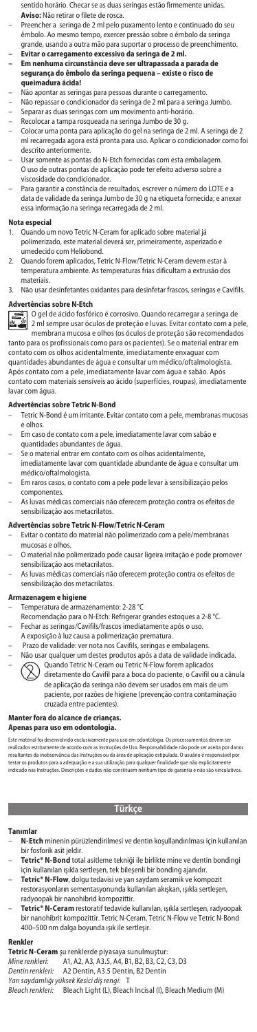- sentido horário. Checar se as duas seringas estão firmemente unidas. **Aviso:** Não retirar o filete de rosca.
- Preencher a seringa de 2 ml pelo puxamento lento e continuado do seu êmbolo. Ao mesmo tempo, exercer pressão sobre o êmbolo da seringa grande, usando a outra mão para suportar o processo de preenchimento.
- **Evitar o carregamento excessivo da seringa de 2 ml. Em nenhuma circunstância deve ser ultrapassada a parada de segurança do êmbolo da seringa pequena – existe o risco de queimadura ácida!**
- Não apontar as seringas para pessoas durante o carregamento.
- Não repassar o condicionador da seringa de 2 ml para a seringa Jumbo.
- Separar as duas seringas com um movimento anti-horário.
- Recolocar a tampa rosqueada na seringa Jumbo de 30 g.
- Colocar uma ponta para aplicação do gel na seringa de 2 ml. A seringa de 2 ml recarregada agora está pronta para uso. Aplicar o condicionador como foi descrito anteriormente.
- Usar somente as pontas do N-Etch fornecidas com esta embalagem. O uso de outras pontas de aplicação pode ter efeito adverso sobre a viscosidade do condicionador.
- Para garantir a constância de resultados, escrever o número do LOTE e a data de validade da seringa Jumbo de 30 g na etiqueta fornecida; e anexar essa informação na seringa recarregada de 2 ml.

#### **Nota especial**

- 1. Quando um novo Tetric N-Ceram for aplicado sobre material já polimerizado, este material deverá ser, primeiramente, asperizado e umedecido com Heliobond.
- 2. Quando forem aplicados, Tetric N-Flow/Tetric N-Ceram devem estar à temperatura ambiente. As temperaturas frias dificultam a extrusão dos materiais.
- 3. Não usar desinfetantes oxidantes para desinfetar frascos, seringas e Cavifils.

# **Advertências sobre N-Etch**



membrana mucosa e olhos (os óculos de proteção são recomendados tanto para os profissionais como para os pacientes). Se o material entrar em

contato com os olhos acidentalmente, imediatamente enxaguar com quantidades abundantes de água e consultar um médico/oftalmologista. Após contato com a pele, imediatamente lavar com água e sabão. Após contato com materiais sensíveis ao ácido (superfícies, roupas), imediatamente lavar com água.

## **Advertências sobre Tetric N-Bond**

- Tetric N-Bond é um irritante. Evitar contato com a pele, membranas mucosas e olhos.
- Em caso de contato com a pele, imediatamente lavar com sabão e quantidades abundantes de água.
- Se o material entrar em contato com os olhos acidentalmente,
- imediatamente lavar com quantidade abundante de água e consultar um médico/oftalmologista.
- Em raros casos, o contato com a pele pode levar à sensibilização pelos componentes.
- As luvas médicas comerciais não oferecem proteção contra os efeitos de sensibilização aos metacrilatos.

## **Advertências sobre Tetric N-Flow/Tetric N-Ceram**

- Evitar o contato do material não polimerizado com a pele/membranas mucosas e olhos.
- O material não polimerizado pode causar ligeira irritação e pode promover sensibilização aos metacrilatos.
- As luvas médicas comerciais não oferecem proteção contra os efeitos de sensibilização dos metacrilatos.

# **Armazenagem e higiene**

- Temperatura de armazenamento: 2-28 °C
- Recomendação para o N-Etch: Refrigerar grandes estoques a 2-8 °C.
- Fechar as seringas/Cavifils/frascos imediatamente após o uso.
- A exposição à luz causa a polimerização prematura.
- Prazo de validade: ver nota nos Cavifils, seringas e embalagens.
- Não usar qualquer um destes produtos após a data de validade indicada. Quando Tetric N-Ceram ou Tetric N-Flow forem aplicados diretamente do Cavifil para a boca do paciente, o Cavifil ou a cânula
	- de aplicação da seringa não devem ser usados em mais de um paciente, por razões de higiene (prevenção contra contaminação cruzada entre pacientes).

#### **Manter fora do alcance de crianças. Apenas para uso em odontologia.**

Este material foi desenvolvido exclusivamente para uso em odontologia. Os processamentos devem ser realizados estritamente de acordo com as Instruções de Uso. Responsabilidade não pode ser aceita por danos resultantes da inobservância das Instruções ou da área de aplicação estipulada. O usuário é responsável por testar os produtos para a adequação e a sua utilização para qualquer finalidade que não explicitamente indicado nas Instruções. Descrições e dados não constituem nenhum tipo de garantia e não são vinculativos.

# **Türkçe**

#### nl:

- **N-Etch** minenin pürüzlendirilmesi ve dentin koşullandırılması için kullanılan bir fosforik asit jeldir.
- **Tetric® N-Bond** total asitleme tekniği ile birlikte mine ve dentin bondingi için kullanılan ışıkla sertleşen, tek bileşenli bir bonding ajanıdır.
- **Tetric® N-Flow**, dolgu tedavisi ve yarı saydam seramik ve kompozit restorasyonların sementasyonunda kullanılan akışkan, ışıkla sertleşen, radyoopak bir nanohibrid kompozittir.
- **Tetric® N-Ceram** restoratif tedavide kullanılan, ışıkla sertleşen, radyoopak bir nanohibrit kompozittir. Tetric N-Ceram, Tetric N-Flow ve Tetric N-Bond 400–500 nm dalga boyunda ışık ile sertleşir.

#### **Renkle**

**Tetric N-Ceram** şu renklerde piyasaya sunulmuştur:<br>*Mine renkleri:* A1, A2, A3, A3.5, A4, B1, B2, B3, C2, C3, D3 *Dentin renkleri:* A2 Dentin, A3.5 Dentin, B2 Dentin *Yarı saydamlığı yüksek Kesici diş rengi:* T *Bleach renkleri:* Bleach Light (L), Bleach Incisal (I), Bleach Medium (M)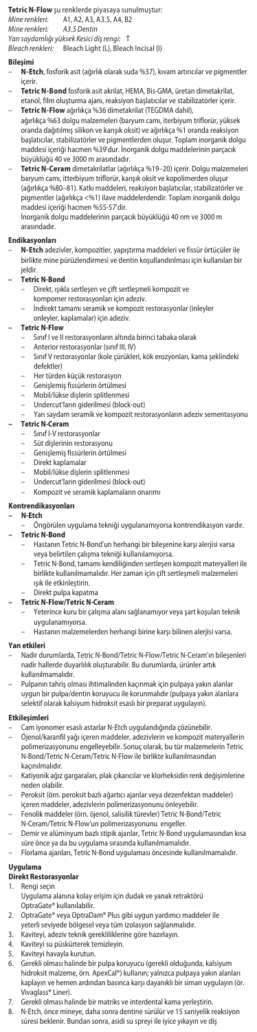# **Tetric N-Flow** şu renklerde piyasaya sunulmuştur:

*Mine renkleri:* A1, A2, A3, A3.5, A4, B2

*Mine renkleri: A3.5 Dentin Yarı saydamlığı yüksek Kesici diş rengi:* T

*Bleach renkleri:* Bleach Light (L), Bleach Incisal (I)

- **Bileşimi**<br>– **N-Etch**, fosforik asit (ağırlık olarak suda %37), kıvam artırıcılar ve pigmentler<br>içerir.
- **Tetric N-Bond** fosforik asit akrilat, HEMA, Bis-GMA, üretan dimetakrilat,<br>etanol, film oluşturma ajanı, reaksiyon başlatıcılar ve stabilizatörler içerir.<br>1936- **Tetric N-Flow** ağırlıkça %36 dimetakrilat (TEG
- ağırlıkça %63 dolgu malzemeleri (baryum camı, iterbiyum triflorür, yüksek oranda dağıtılmış silikon ve karışık oksit) ve ağırlıkça %1 oranda reaksiyon başlatıcılar, stabilizatörler ve pigmentlerden oluşur. Toplam inorganik dolgu maddesi içeriği hacmen %39'dur. İnorganik dolgu maddelerinin parçacık büyüklüğü 40 ve 3000 m arasındadır.
- **Tetric N-Ceram** dimetakrilatlar (ağırlıkça %19–20) içerir. Dolgu malzemeleri baryum camı, itterbiyum triflorür, karışık oksit ve kopolimerden oluşur (ağırlıkça %80–81). Katkı maddeleri, reaksiyon başlatıcılar, stabilizatörler ve pigmentler (ağırlıkça <%1) ilave maddelerdendir. Toplam inorganik dolgu maddesi içeriği hacmen %55-57'dir. İnorganik dolgu maddelerinin parçacık büyüklüğü 40 nm ve 3000 m

arasındadır.

## **Endikasyonları**

– **N-Etch** adezivler, kompozitler, yapıştırma maddeleri ve fissür örtücüler ile birlikte mine pürüzlendirmesi ve dentin koşullandırılması için kullanılan bir jeldir.

# **– Tetric N-Bond**

- Direkt, ışıkla sertleşen ve çift sertleşmeli kompozit ve
- kompomer restorasyonları için adeziv.
- İndirekt tamamı seramik ve kompozit restorasyonlar (inleyler
- onleyler, kaplamalar) için adeziv.

#### **– Tetric N-Flow**

- Sınıf I ve II restorasyonların altında birinci tabaka olarak
- Anterior restorasyonlar (sınıf III, IV)
- Sınıf V restorasyonlar (kole çürükleri, kök erozyonları, kama şeklindeki defektler)
- Her türden küçük restorasyon
- Genişlemiş fissürlerin örtülmesi
- Mobil/lükse dişlerin splitlenmesi
- Undercut'ların giderilmesi (block-out)
- Yarı saydam seramik ve kompozit restorasyonların adeziv sementasyonu  **Tetric N-Ceram**
	- Sınıf I-V restorasyonlar
	- Süt dişlerinin restorasyonu
	- Genişlemiş fissürlerin örtülmesi
	- Direkt kaplamalar
	-
	- Mobil/lükse dişlerin splitlenmesi Undercut'ların giderilmesi (block-out)
	- Kompozit ve seramik kaplamaların onarımı

# **Kontrendikasyonları**

- **N-Etch**
	- Öngörülen uygulama tekniği uygulanamıyorsa kontrendikasyon vardır. **– Tetric N-Bond**
		- Hastanın Tetric N-Bond'un herhangi bir bileşenine karşı alerjisi varsa veya belirtilen çalışma tekniği kullanılamıyorsa.
		- Tetric N-Bond, tamamı kendiliğinden sertleşen kompozit materyalleri ile birlikte kullanılmamalıdır. Her zaman için çift sertleşmeli malzemeleri ışık ile etkinleştirin.
	-
- Direkt pulpa kapatma  **Tetric N-Flow/Tetric N-Ceram**
	- Yeterince kuru bir çalışma alanı sağlanamıyor veya şart koşulan teknik uygulanamıyorsa.
	- Hastanın malzemelerden herhangi birine karşı bilinen alerjisi varsa.

# **Yan etkileri**

- Nadir durumlarda, Tetric N-Bond/Tetric N-Flow/Tetric N-Ceram'ın bileşenleri nadir hallerde duyarlılık oluşturabilir. Bu durumlarda, ürünler artık kullanılmamalıdır.
- Pulpanın tahriş olması ihtimalinden kaçınmak için pulpaya yakın alanlar uygun bir pulpa/dentin koruyucu ile korunmalıdır (pulpaya yakın alanlara selektif olarak kalsiyum hidroksit esaslı bir preparat uygulayın).

## **Etkileşimleri**

- 
- Cam iyonomer esaslı astarlar N-Etch uygulandığında çözünebilir. Öjenol/karanfil yağı içeren maddeler, adezivlerin ve kompozit materyallerin polimerizasyonunu engelleyebilir. Sonuç olarak, bu tür malzemelerin Tetric N-Bond/Tetric N-Ceram/Tetric N-Flow ile birlikte kullanılmasından kaçınılmalıdır.
- Katiyonik ağız gargaraları, plak çıkarıcılar ve klorheksidin renk değişimlerine neden olabilir.
- Peroksit (örn. peroksit bazlı ağartıcı ajanlar veya dezenfektan maddeler)
- içeren maddeler, adezivlerin polimerizasyonunu önleyebilir. Fenolik maddeler (örn. öjenol, salisilik türevler) Tetric N-Bond/Tetric
- N-Ceram/Tetric N-Flow'un polimerizasyonunu engeller.
- Demir ve alüminyum bazlı stipik ajanlar, Tetric N-Bond uygulamasından kısa süre önce ya da bu uygulama sırasında kullanılmamalıdır. Florlama ajanları, Tetric N-Bond uygulaması öncesinde kullanılmamalıdır.
- 

# **Uyg**<br>Dire

# **Direkt Restorasyonlar**

- 1. Rengi seçin
- Uygulama alanına kolay erişim için dudak ve yanak retraktörü OptraGate® kullanılabilir.
- 2. OptraGate® veya OptraDam® Plus gibi uygun yardımcı maddeler ile
- yeterli seviyede bölgesel veya tüm izolasyon sağlanmalıdır. 3. Kaviteyi, adeziv teknik gerekliliklerine göre hazırlayın.
- 
- 4. Kaviteyi su püskürterek temizleyin<br>5. Kaviteyi havayla kurutun.
- 
- 5. Kaviteyi havayla kurutun. 6. Gerekli olması halinde bir pulpa koruyucu (gerekli olduğunda, kalsiyum hidroksit malzeme, örn. ApexCal®) kullanın; yalnızca pulpaya yakın alanları kaplayın ve hemen ardından basınca karşı dayanıklı bir siman uygulayın (ör. Vivaglass® Liner).
- 7. Gerekli olması halinde bir matriks ve interdental kama yerleştirin.
- 8. N-Etch, önce mineye, daha sonra dentine sürülür ve 15 saniyelik reaksiyon süresi beklenir. Bundan sonra, asidi su spreyi ile iyice yıkayın ve diş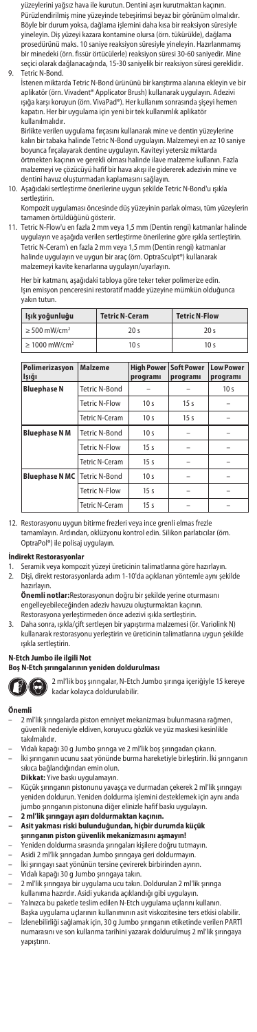yüzeylerini yağsız hava ile kurutun. Dentini aşırı kurutmaktan kaçının. Pürüzlendirilmiş mine yüzeyinde tebeşirimsi beyaz bir görünüm olmalıdır. Böyle bir durum yoksa, dağlama işlemini daha kısa bir reaksiyon süresiyle yineleyin. Diş yüzeyi kazara kontamine olursa (örn. tükürükle), dağlama prosedürünü maks. 10 saniye reaksiyon süresiyle yineleyin. Hazırlanmamış bir minedeki (örn. fissür örtücülerle) reaksiyon süresi 30-60 saniyedir. Mine seçici olarak dağlanacağında, 15-30 saniyelik bir reaksiyon süresi gereklidir. 9. Tetric N-Bond.

İstenen miktarda Tetric N-Bond ürününü bir karıştırma alanına ekleyin ve bir aplikatör (örn. Vivadent® Applicator Brush) kullanarak uygulayın. Adezivi ışığa karşı koruyun (örn. VivaPad®). Her kullanım sonrasında şişeyi hemen kapatın. Her bir uygulama için yeni bir tek kullanımlık aplikatör kullanılmalıdır.

Birlikte verilen uygulama fırçasını kullanarak mine ve dentin yüzeylerine kalın bir tabaka halinde Tetric N-Bond uygulayın. Malzemeyi en az 10 saniye boyunca fırçalayarak dentine uygulayın. Kaviteyi yetersiz miktarda örtmekten kaçının ve gerekli olması halinde ilave malzeme kullanın. Fazla malzemeyi ve çözücüyü hafif bir hava akışı ile gidererek adezivin mine ve dentini havuz oluşturmadan kaplamasını sağlayın.

- 10. Aşağıdaki sertleştirme önerilerine uygun şekilde Tetric N-Bond'u ışıkla sertleştirir
- Kompozit uygulaması öncesinde düş yüzeyinin parlak olması, tüm yüzeylerin tamamen örtüldüğünü gösterir.
- 11. Tetric N-Flow'u en fazla 2 mm veya 1,5 mm (Dentin rengi) katmanlar halinde uygulayın ve aşağıda verilen sertleştirme önerilerine göre ışıkla sertleştirin. Tetric N-Ceram'ı en fazla 2 mm veya 1,5 mm (Dentin rengi) katmanlar halinde uygulayın ve uygun bir araç (örn. OptraSculpt®) kullanarak malzemeyi kavite kenarlarına uygulayın/uyarlayın.

Her bir katmanı, aşağıdaki tabloya göre teker teker polimerize edin. Işın emisyon penceresini restoratif madde yüzeyine mümkün olduğunca yakın tutun.

| Işık yoğunluğu                 | <b>Tetric N-Ceram</b> | <b>Tetric N-Flow</b> |  |
|--------------------------------|-----------------------|----------------------|--|
| $\geq$ 500 mW/cm <sup>2</sup>  | 20 s                  | 20 s                 |  |
| $\geq 1000$ mW/cm <sup>2</sup> | 10 <sub>s</sub>       | 10 <sub>s</sub>      |  |

| Polimerizasyon<br>Işığı             | Malzeme              | High Power Soft Power<br>programı | programı        | <b>Low Power</b><br>programı |
|-------------------------------------|----------------------|-----------------------------------|-----------------|------------------------------|
| <b>Bluephase N</b>                  | <b>Tetric N-Bond</b> |                                   |                 | 10 <sub>s</sub>              |
|                                     | <b>Tetric N-Flow</b> | 10 <sub>s</sub>                   | 15 <sub>s</sub> |                              |
|                                     | Tetric N-Ceram       | 10 <sub>s</sub>                   | 15 <sub>s</sub> |                              |
| <b>Bluephase N M</b>                | <b>Tetric N-Bond</b> | 10 <sub>s</sub>                   |                 |                              |
|                                     | <b>Tetric N-Flow</b> | 15 <sub>s</sub>                   |                 |                              |
|                                     | Tetric N-Ceram       | 15 <sub>s</sub>                   |                 |                              |
| <b>Bluephase N MC</b> Tetric N-Bond |                      | 10 <sub>s</sub>                   |                 |                              |
|                                     | <b>Tetric N-Flow</b> | 15 <sub>s</sub>                   |                 |                              |
|                                     | Tetric N-Ceram       | 15s                               |                 |                              |

12. Restorasyonu uygun bitirme frezleri veya ince grenli elmas frezle tamamlayın. Ardından, oklüzyonu kontrol edin. Silikon parlatıcılar (örn. OptraPol®) ile polisaj uygulayın.

# **İndirekt Restorasyonlar**

- 
- 1. Seramik veya kompozit yüzeyi üreticinin talimatlarına göre hazırlayın. 2. Dişi, direkt restorasyonlarda adım 1-10'da açıklanan yöntemle aynı şekilde hazırlayın.
- **Önemli notlar:**Restorasyonun doğru bir şekilde yerine oturmasını engelleyebileceğinden adeziv havuzu oluşturmaktan kaçının.  $\bar{\text{r}}$ leştirmeden önce adezivi ışıkla sertleştirin.
- 3. Daha sonra, ışıkla/çift sertleşen bir yapıştırma malzemesi (ör. Variolink N) kullanarak restorasyonu yerleştirin ve üreticinin talimatlarına uygun şekilde ışıkla sertleştirin.

# **N-Etch Jumbo ile ilgili Not**

# **Boş N-Etch şırıngalarının yeniden doldurulması**

2 ml'lik boş şırıngalar, N-Etch Jumbo şırınga içeriğiyle 15 kereye kadar kolayca doldurulabilir.

#### **Önemli**

- 2 ml'lik şırıngalarda piston emniyet mekanizması bulunmasına rağmen, güvenlik nedeniyle eldiven, koruyucu gözlük ve yüz maskesi kesinlikle takılmalıdır.
- Vidalı kapağı 30 g Jumbo şırınga ve 2 ml'lik boş şırıngadan çıkarın.
- İki şırınganın ucunu saat yönünde burma hareketiyle birleştirin. İki şırınganın
- sıkıca bağlandığından emin olun. **Dikkat:** Yive baskı uygulamayın.
- **Dikkat:** Yive baskı uygulamayın.<br> **Küç**lik şırınganın pistonunu yavaşça ve durmadan çekerek 2 ml'lik şırıngay<br>
yeniden doldurun. Yeniden doldurma işlemini desteklemek için aynı anda<br> **Amazi yavaşı şarı doldurmaktan kaçın** yeniden doldurun. Yeniden doldurma işlemini desteklemek için aynı anda jumbo şırınganın pistonuna diğer elinizle hafif baskı uygulayın.
- 
- **2 ml'lik şırıngayı aşırı doldurmaktan kaçının. Asit yakması riski bulunduğundan, hiçbir durumda küçük şırınganın piston güvenlik mekanizmasını aşmayın!**
- Yeniden doldurma sırasında şırıngaları kişilere doğru tutmayın.
- 
- Asidi 2 ml'lik şırıngadan Jumbo şırıngaya geri doldurmayın. İki şırıngayı saat yönünün tersine çevirerek birbirinden ayırın.
- Vidalı kapağı 30 g Jumbo şırıngaya takın.
- 2 ml'lik şırıngaya bir uygulama ucu takın. Doldurulan 2 ml'lik şırınga kullanıma hazırdır. Asidi yukarıda açıklandığı gibi uygulayın.
- Yalnızca bu paketle teslim edilen N-Etch uygulama uçlarını kullanın. Başka uygulama uçlarının kullanımının asit viskozitesine ters etkisi olabilir. – İzlenebilirliği sağlamak için, 30 g Jumbo şırınganın etiketinde verilen PARTİ numarasını ve son kullanma tarihini yazarak doldurulmuş 2 ml'lik şırıngaya yapıştırın.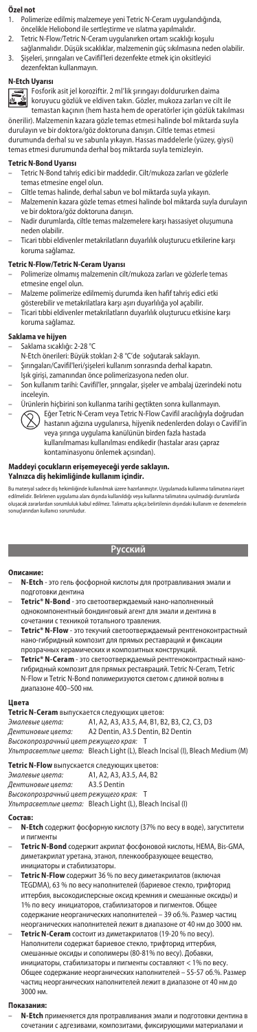# **Özel not**

- 1. Polimerize edilmiş malzemeye yeni Tetric N-Ceram uygulandığında,
- öncelikle Heliobond ile sertleştirme ve ıslatma yapılmalıdır. 2. Tetric N-Flow/Tetric N-Ceram uygulanırken ortam sıcaklığı koşulu
- 
- sağlanmalıdır. Düşük sıcaklıklar, malzemenin güç sıkılmasına neden olabilir. 3. Şişeleri, şırıngaları ve Cavifil'leri dezenfekte etmek için oksitleyici dezenfektan kullanmayın.

#### **N-Etch Uyarısı**

Fosforik asit jel koroziftir. 2 ml'lik şırıngayı doldururken daima koruyucu gözlük ve eldiven takın. Gözler, mukoza zarları ve cilt ile temastan kaçının (hem hasta hem de operatörler için gözlük takılması

önerilir). Malzemenin kazara gözle temas etmesi halinde bol miktarda suyla durulayın ve bir doktora/göz doktoruna danışın. Ciltle temas etmesi durumunda derhal su ve sabunla yıkayın. Hassas maddelerle (yüzey, giysi) temas etmesi durumunda derhal boş miktarda suyla temizleyin.

## **Tetric N-Bond Uyarısı**

- Tetric N-Bond tahriş edici bir maddedir. Cilt/mukoza zarları ve gözlerle
- temas etmesine engel olun. Ciltle temas halinde, derhal sabun ve bol miktarda suyla yıkayın.
- Malzemenin kazara gözle temas etmesi halinde bol miktarda suyla durulayın
- ve bir doktora/göz doktoruna danışın. Nadir durumlarda, ciltle temas malzemelere karşı hassasiyet oluşumuna neden olabilir.
- Ticari tıbbi eldivenler metakrilatların duyarlılık oluşturucu etkilerine karşı koruma sağlamaz.

## **Tetric N-Flow/Tetric N-Ceram Uyarısı**

- Polimerize olmamış malzemenin cilt/mukoza zarları ve gözlerle temas etmesine engel olun.
- Malzeme polimerize edilmemiş durumda iken hafif tahriş edici etki
- 
- gösterebilir ve metakrilatlara karşı aşırı duyarlılığa yol açabilir. Ticari tıbbi eldivenler metakrilatların duyarlılık oluşturucu etkisine karşı koruma sağlamaz.

- **Saklama ve hijyen** Saklama sıcaklığı: 2-28 °C
- N-Etch önerileri: Büyük stokları 2-8 °C'de soğutarak saklayın.
- Şırıngaları/Cavifil'leri/şişeleri kullanım sonrasında derhal kapatın.
- Işık girişi, zamanından önce polimerizasyona neden olur.
- Son kullanım tarihi: Cavifil'ler, şırıngalar, şişeler ve ambalaj üzerindeki notu inceleyin.
	-
- Urünlerin hiçbirini son kullanma tarihi geçtikten sonra kullanmayın.<br>- ├── Eğer Tetric N-Ceram veya Tetric N-Flow Cavifil aracılığıyla doğrudan<br>- ├── Eğer Tetric N-Ceram veyuanırsa, hijyenik nedenlerden dolay o Cavifil'
	- kullanılmaması kullanılması endikedir (hastalar arası çapraz kontaminasyonu önlemek açısından).

# **Maddeyi çocukların erişemeyeceği yerde saklayın.**

# **Yalnızca diş hekimliğinde kullanım içindir.**

Bu materyal sadece diş hekimliğinde kullanılmak üzere hazırlanmıştır. Uygulamada kullanma talimatına riayet<br>edilmelidir. Belirlenen uygulama alanı dışında kullanıldığı veya kullanma talimatına uyulmadığı durumlarda<br>oluşaca .<br>uçlarından kullanıcı sorumludur.

## **Русский**

#### **Оп**

- **N-Etch** это гель фосфорной кислоты для протравливания эмали и подготовки дентина
- **Tetric® N-Bond** это светоотверждаемый нано-наполненный однокомпонентный бондинговый агент для эмали и дентина в
- сочетании с техникой тотального травления.
- **Tetric® N-Flow** это текучий светоотверждаемый рентгеноконтрастный нано-гибридный композит для прямых реставраций и фиксации
- прозрачных керамических и композитных конструкций. **Tetric® N-Ceram** это светоотверждаемый рентгеноконтрастный наногибридный композит для прямых реставраций. Tetric N-Ceram, Tetric N-Flow и Tetric N-Bond полимеризуются светом с длиной волны в диапазоне 400–500 нм.

#### **Цвета**

|  |  | Tetric N-Ceram выпускается следующих цветов: |
|--|--|----------------------------------------------|
|--|--|----------------------------------------------|

- *Эмалевые цвета:* A1, A2, A3, A3.5, A4, B1, B2, B3, C2, C3, D3
- *Дентиновые цвета:* A2 Dentin, A3.5 Dentin, B2 Dentin
- 
- *Высокопрозрачный цвет режущего края:* T *Ультрасветлые цвета:* Bleach Light (L), Bleach Incisal (I), Bleach Medium (M)
- **Tetric N-Flow** выпускается следующих цветов:
- *Эмалевые цвета:* A1, A2, A3, A3.5, A4, B2
- 
- *Дентиновые цвета:* A3.5 Dentin *Высокопрозрачный цвет режущего края:* T

*Ультрасветлые цвета:* Bleach Light (L), Bleach Incisal (I)

# **Состав:**

- **N-Etch** содержит фосфорную кислоту (37% по весу в воде), загустители и пигменты
- **Tetric N-Bond** содержит акрилат фосфоновой кислоты, HEMA, Bis-GMA, диметакрилат уретана, этанол, пленкообразующее вещество,
- инициаторы и стабилизаторы. **Tetric N-Flow** содержит 36 % по весу диметакрилатов (включая TEGDMA), 63 % по весу наполнителей (бариевое стекло, трифторид иттербия, высокодисперсные оксид кремния и смешанные оксиды) и 1% по весу инициаторов, стабилизаторов и пигментов. Общее содержание неорганических наполнителей – 39 об.%. Размер частиц
- неорганических наполнителей лежит в диапазоне от 40 нм до 3000 нм. **Tetric N-Ceram** состоит из диметакрилатов (19-20 % по весу). Наполнители содержат бариевое стекло, трифторид иттербия, смешанные оксиды и сополимеры (80-81% по весу). Добавки, инициаторы, стабилизаторы и пигменты составляют < 1% по весу. Общее содержание неорганических наполнителей – 55-57 об.%. Размер частиц неорганических наполнителей лежит в диапазоне от 40 нм до 3000 нм.

### **Показания:**

– **N-Etch** применяется для протравливания эмали и подготовки дентина в сочетании с адгезивами, композитами, фиксирующими материалами и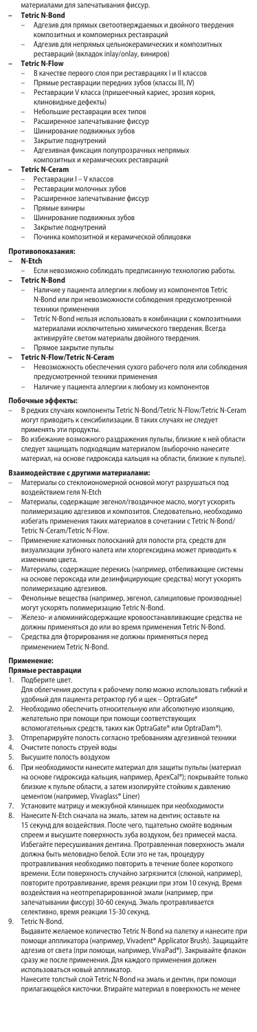материалами для запечатывания фиссур.

#### **– Tetric N-Bond**

- Адгезив для прямых светоотверждаемых и двойного твердения композитных и компомерных реставраций
- Адгезив для непрямых цельнокерамических и композитных реставраций (вкладок inlay/onlay, виниров)

# **– Tetric N-Flow**

- В качестве первого слоя при реставрациях I и II классов
- 
- Прямые реставрации передних зубов (классы III, IV)<br>Реставрации V класса (пришеечный кариес, эрозия корня, – Реставрации V класса (пришеечн
- клиновидные дефекты)
- Небольшие реставрации всех типов Расширенное запечатывание фиссур
- Шинирование подвижных зубов
- Закрытие поднутрений
- Адгезивная фиксация полупрозрачных непрямых
- композитных и керамических реставраций

# **– Tetric N-Ceram**

- Реставрации I V классов
- Реставрации молочных зубов
- Расширенное запечатывание фиссур<br>– Прямые виниры
- Прямые виниры
- Шинирование подвижных зубов
- Закрытие поднутрений
- Починка композитной и керамической облицов

### **Противопоказания:**

# **– N-Etch**

- Если невозможно соблюдать предписанную технологию работы. **– Tetric N-Bond**
	- Наличие у пациента аллергии к любому из компонентов Tetric N-Bond или при невозможности соблюдения предусмотренной техники при
	- Tetric N-Bond нельзя использовать в комбинации с ко материалами исключительно химического твердения. Всегда активируйте светом материалы двойного твердения.<br>Прямое закрытие пульпы –<br>мое закрытие пульпы

# **– Tetric N-Flow/Tetric N-Ceram**

- Невозможность обеспечения сухого рабочего поля или соблюдения
- предусмотренной техники применения Наличие у пациента аллергии к любому из компонентов

# **Побочные эффекты:**

- В редких случаях компоненты Tetric N-Bond/Tetric N-Flow/Tetric N-Ceram в редакт случая повинования текнет вола, текнет толи текнет<br>могут приводить к сенсибилизации. В таких случаях не следует<br>применять эти продукты. .<br>нять эти продукты.
- Во избежание возможного раздражения пульпы, близкие к ней области следует защищать подходящим материалом (выборочно нанесите материал, на основе гидроксида кальция на области, близкие к пульпе).

- **Взаимодействие с другими материалами:**<br>— Материалы со стеклоиономерной основой могут разрушаться под воздействием геля N-Etch
- Материалы, содержащие эвгенол/гвоздичное масло, могут ускорять полимеризацию адгезивов и композитов. Следовательн избегать применения таких материалов в сочетании с Tetric N-Bond/ Tetric N-Ceram/Tetric N-Flow.<br>Применение катионных пол
- ․․․․․…․<br>ных полосканий для полости рта, средств для визуализации зубного налета или хлоргексидина может приводить к изменению цвета.
- Материалы, содержащие перекись (например, отбеливающие системы на основе пероксида или дезинфицирующие средства) могут ускорять полимеризацию адгезивов.
- –<br>ные вещества (например, эвгенол, салициловые производные) могут ускорять полимеризацию Tetric N-Bond.
- Железо- и алюминийсодержащие кровоостанавливающие средства не должны применяться до или во время применения Tetric N-Bond.
- Средства для фторирования не должны применяться перед применением Tetric N-Bond.

# **Применение:**

# **ямые реставраці<br>Подберите цвет.**

- 1. Подберите цвет.
- Для облегчения доступа к рабочему полю можно использовать гибкий и удобный для пациента ретрактор губ и щек – OptraGate®
- 2. Необходимо обеспечить относительную или абсолютную изоляцию, желательно при помощи при помощи соответствующих
- вспомогательных средств, таких как OptraGate® или OptraDam®).
- 3. Отпрепарируйте полость согласно требованиям адгезивной техники 4. Очистите полость струей воды<br>5. Высушите полость воздухом
- 5. Высушите полость воздухом
- 6. При необходимости нанесите материал для защиты пульпы (материал на основе гидроксида кальция, например, ApexCal®); покрывайте только близкие к пульпе области, а затем изолируйте стойким к давлению
- цементом (например, Vivaglass® Liner) 7. Установите матрицу и межзубной клинышек при необходимости 8. Нанесите N-Etch сначала на эмаль, затем на дентин; оставьте на 15 секунд для воздействия. После чего, тщательно смойте водя<mark>н</mark> спреем и высушите поверхность зуба воздухом, без примесей масла. Избегайте пересушивания дентина. Протравленная поверхность эмали должна быть меловидно белой. Если это не так, процедуру
	- . . .<br>протравливания необходимо повторить в течение более короткого<br>времени. Если поверхность случайно загрязнится (слюной, наприм .<br>1ени. Если поверхность случайно загрязнится (слюной, например), повторите протравливание, время реакции при этом 10 секунд. Время воздействия на неотпрепарированной эмали (например, при запечатывании фиссур) 30-60 секунд. Эмаль протравливается селективно, время реакции 15-30 секунд.
- Tetric N-Bond.

Выдавите желаемое количество Tetric N-Bond на палетку и нанесите при помощи аппликатора (например, Vivadent® Applicator Brush). Защищайте адгезив от света (при помощи, например, VivaPad®). Закрывайте флакон сразу же после применения. Для каждого применения должен использоваться новый аппликатор.

Нанесите толстый слой Tetric N-Bond на эмаль и дентин, при помощи прилагающейся кисточки. Втирайте материал в поверхность не менее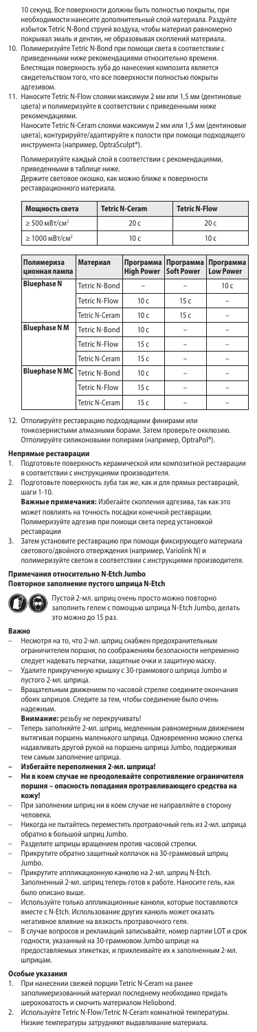10 секунд. Все поверхности должны быть полностью покрыты, при необходимости нанесите дополнительный слой материала. Раздуйте избыток Tetric N-Bond струей воздуха, чтобы материал равномерно покрывал эмаль и дентин, не образовывая скоплений материала.

- 10. Полимеризуйте Tetric N-Bond при помощи света в соответствии с приведенными ниже рекомендациями относительно времени. Блестящая поверхность зуба до нанесения композита является свидетельством того, что все поверхности полностью покрыты адгезивом.
- на настаносите Tetric N-Flow слоями максимум 2 мм или 1,5 мм (дентиновы<br>- швета) и полимеризуйте в соответствии с приведенными ниже цвета) и полимеризуйте в соответствии с приведен рекомендациями.

Наносите Tetric N-Ceram слоями максимум 2 мм или 1,5 мм (дентинов цвета), контурируйте/адаптируйте к полости при помощи подходящего инструмента (например, OptraSculpt®).

Полимеризуйте каждый слой в соответствии с рекомендациями,

приведенными в таблице ниже.

Держите световое окошко, как можно ближе к поверхности реставрационного материала.

| Мощность света                  | <b>Tetric N-Ceram</b> | <b>Tetric N-Flow</b> |  |
|---------------------------------|-----------------------|----------------------|--|
| $\geq$ 500 MBT/CM <sup>2</sup>  | 20c                   | 20 c                 |  |
| $\geq 1000$ MBT/CM <sup>2</sup> | 10 <sub>c</sub>       | 10c                  |  |

| Полимериза<br>ционная лампа | Материал             | Программа<br><b>High Power</b> | Программа<br><b>Soft Power</b> | Программа<br><b>Low Power</b> |
|-----------------------------|----------------------|--------------------------------|--------------------------------|-------------------------------|
| <b>Bluephase N</b>          | Tetric N-Bond        |                                |                                | 10 <sub>c</sub>               |
|                             | Tetric N-Flow        | 10c                            | 15c                            |                               |
|                             | Tetric N-Ceram       | 10 <sub>c</sub>                | 15c                            |                               |
| <b>Bluephase NM</b>         | Tetric N-Bond        | 10 <sub>c</sub>                |                                |                               |
|                             | <b>Tetric N-Flow</b> | 15c                            |                                |                               |
|                             | Tetric N-Ceram       | 15c                            |                                |                               |
| <b>Bluephase NMC</b>        | Tetric N-Bond        | 10 <sub>c</sub>                |                                |                               |
|                             | <b>Tetric N-Flow</b> | 15c                            |                                |                               |
|                             | Tetric N-Ceram       | 15c                            |                                |                               |

12. Отполируйте реставрацию подходящими финирами или тонкозернистыми алмазными борами. Затем проверьте ок Отполируйте силиконовыми полирами (например, OptraPol®).

- **Непрямые реставрации**<br>1. Подготовьте поверхность керамической или композитной реставрации в соответствии с инструкциями производителя.
- 2. Подготовьте поверхность зуба так же, как и для прямых реставраций, шаги 1-10.<br>**Важные при**

**Важные примечания:** Избегайте скопления адгезива, так как это может повлиять на точность посадки конечной реставраци Полимеризуйте адгезив при помощи света перед установкой реставрации

3. Затем установите реставрацию при помощи фиксирующего материала светового/двойного отверждения (например, Variolink N) и полимеризуйте светом в соответствии с инструкциями производителя.

# Примечания относительно N-Etch Jumb

# **Повторное заполнение пустого шприца N-Etch**



Пустой 2-мл. шприц очень просто можно повторно заполнить гелем с помощью шприца N-Etch Jumbo, делать это можно до 15 раз.

#### **Ва**

- Несмотря на то, что 2-мл. шприц снабжен предохранительным ограничителем поршня, по соображениям безопасности непременно следует надевать перчатки, защитные очки и защитную маску.
- Удалите прикрученную крышку с 30-граммового шприца Jumbo и пустого 2-мл. шприца.
- Вращательным движением по часовой стрелке соедините окончания обоих шприцов. Следите за тем, чтобы соединение было очень надежным.
- **Внимание:** резьбу не перекручивать!
- Теперь заполняйте 2-мл. шприц, медленным равномерным движением вытягивая поршень маленького шприца. Одновременно можно слегка надавливать другой рукой на поршень шприца Jumbo, поддерживая тем самым заполнение шприца.
- **Избегайте переполнения 2-мл. шприца!**
- **Ни в коем случае не преодолевайте сопротивление ограничителя поршня опасность попадания протравливающего средства на кожу!**
- При заполнении шприц ни в коем случае не направляйте в сторону .<br>человека.
- Никогда не пытайтесь переместить протравочный гель из 2-мл. шприца обратно в большой шприц Jumbo.
- 
- Разделите шприцы вращением против часовой стрелки. Прикрутите обратно защитный колпачок на 30-граммовый шприц Jumbo.
- Прикрутите аппликационную канюлю на 2-мл. шприц N-Etch. Заполненный 2-мл. шприц теперь готов к работе. Наносите гель, как
- было описано выше.
- Используйте только аппликационные канюли, которые поставляются вместе с N-Etch. Использование других канюль может оказать негативное влияние на вязкость протравочного геля.
- В случае вопросов и рекламаций записывайте, номер партии LOT и срок годности, указанный на 30-граммовом Jumbo шприце на предоставляемых этикетках, и приклеивайте их к заполненным 2-мл. шприцам.

# **Особые указа**<br>1. При нанес

- 1. При нанесении свежей порции Tetric N-Ceram на ранее заполимеризованный материал последнему необходимо придать
- шероховатость и смочить материалом Heliobond. 2. Используйте Tetric N-Flow/Tetric N-Ceram комнатной температуры. Низкие температуры затрудняют выдавливание материала.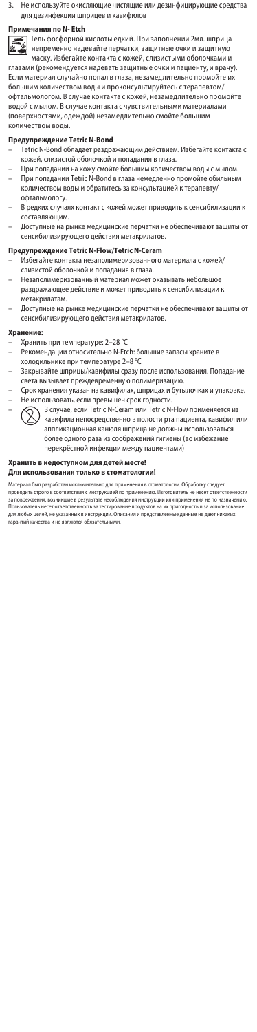3. Не используйте окисляющие чистящие или дезинфицирующие средства для дезинфекции шприцев и кавифилов

# **Примечания по N- Etch**

Гель фосфорной кислоты едкий. При заполнении 2мл. шприца непременно надевайте перчатки, защитные очки и защитную ≝ маску. Избегайте контакта с кожей, слизистыми оболочками и

глазами (рекомендуется надевать защитные очки и пациенту, и врачу). Если материал случайно попал в глаза, незамедлительно промойте их большим количеством воды и проконсультируйтесь с терапевтом/ офтальмологом. В случае контакта с кожей, незамедлительно промойте водой с мылом. В случае контакта с чувствительными материалами<br>(поверхностями, олежлой) незамеллительно смойте большим (поверхностями, одеждой) незамедлительно смойте больш количеством воды.

## **Предупреждение Tetric N-Bond**

- Tetric N-Bond обладает раздражающим действием. Избегайте контакта с кожей, слизистой оболочкой и попадания в глаза.
- При попадании на кожу смойте большим количеством воды с мылом. – При попадании Tetric N-Bond в глаза немедленно промойте обильным количеством воды и обратитесь за консультацией к терапевту/ офтальмологу.
- В редких случаях контакт с кожей может приводить к сенсибилизации к составляющим.
- Доступные на рынке медицинские перчатки не обеспечивают защиты от сенсибилизирующего действия метакрилатов.

## **Предупреждение Tetric N-Flow/Tetric N-Ceram**

- Избегайте контакта незаполимеризованного материала с кожей/ слизистой оболочкой и попадания в глаза.
- Незаполимеризованный материал может оказывать небольшое раздражающее действие и может приводить к сенсибилизации к
- метакрилатам. – Доступные на рынке медицинские перчатки не обеспечивают защиты от
- сенсибилизирующего действия метакрилатов.

## **Хранение:**

- Хранить при температуре: 2–28 °С<br>− Рекомендации относительно N-Etι
- Рекомендации относительно N-Etch: большие запасы храните в холодильнике при температуре 2–8 °C
- Закрывайте шприцы/кавифилы сразу после использования. Попадание света вызывает преждевременную полимеризацию.
- Срок хранения указан на кавифилах, шприцах и бутылочках и упаковке. Не использовать, если превышен срок годности.
- В случае, если Tetric N-Ceram или Tetric N-Flow применяется из кавифила непосредственно в полости рта пациента, кавифил или аппликационная канюля шприца не должны использоваться более одного раза из соображений гигиены (во избежание перекрёстной инфекции между пациентами)

## **Хранить в недоступном для детей месте! Для использования только в стоматологии!**

Материал был разработан исключительно для применения в стоматологии. Обработку следует<br>проводить строго в соответствии с инструкцией по применению. Изготовитель не несет ответственности<br>за повреждения, возникшие в результ Пользователь несет ответственность за тестирование продуктов на их пригодность и за использование для любых целей, не указанных в инструкции. Описания и представленные данные не дают никаких гарантий качества и не являются обязательными.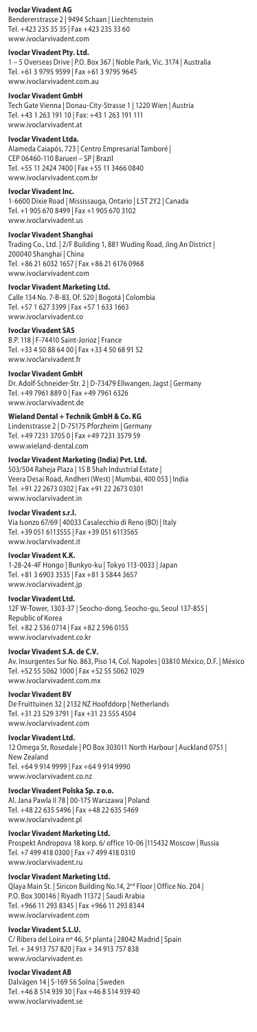# **Ivoclar Vivadent AG**

Bendererstrasse 2 | 9494 Schaan | Liechtenstein Tel. +423 235 35 35 | Fax +423 235 33 60 www.ivoclarvivadent.com

# **Ivoclar Vivadent Pty. Ltd.**

1 – 5 Overseas Drive | P.O. Box 367 | Noble Park, Vic. 3174 | Australia Tel. +61 3 9795 9599 | Fax +61 3 9795 9645 www.ivoclarvivadent.com.au

# **Ivoclar Vivadent GmbH**

Tech Gate Vienna | Donau-City-Strasse 1 | 1220 Wien | Austria Tel. +43 1 263 191 10 | Fax: +43 1 263 191 111 www.ivoclarvivadent.at

# **Ivoclar Vivadent Ltda.**

Alameda Caiapós, 723 | Centro Empresarial Tamboré | CEP 06460-110 Barueri – SP | Brazil Tel. +55 11 2424 7400 | Fax +55 11 3466 0840

www.ivoclarvivadent.com.br

### **Ivoclar Vivadent In**

1-6600 Dixie Road | Mississauga, Ontario | L5T 2Y2 | Canada Tel. +1 905 670 8499 | Fax +1 905 670 3102 www.ivoclarvivadent.us

#### **Ivoclar Vivadent Shanghai**

Trading Co., Ltd. | 2/F Building 1, 881 Wuding Road, Jing An District | 200040 Shanghai | China Tel. +86 21 6032 1657 | Fax +86 21 6176 0968

www.ivoclarvivadent.com

**Ivoclar Vivadent Marketing Ltd.**<br>Calle 134 No. 7-B-83, Of. 520 | Bogotá | Colombia Tel. +57 1 627 3399 | Fax +57 1 633 1663 www.ivoclarvivadent.co

#### **Ivoclar Vivadent SAS**

B.P. 118 | F-74410 Saint-Jorioz | France Tel. +33 4 50 88 64 00 | Fax +33 4 50 68 91 52 www.ivoclarvivadent.fr

#### **Ivoclar Vivadent GmbH**

Dr. Adolf-Schneider-Str. 2 | D-73479 Ellwangen, Jagst | Germany Tel. +49 7961 889 0 | Fax +49 7961 6326 www.ivoclarvivadent.de

## **Wieland Dental + Technik GmbH & Co. KG**

Lindenstrasse 2 | D-75175 Pforzheim | Germany Tel. +49 7231 3705 0 | Fax +49 7231 3579 59 www.wieland-dental.com

# **Ivoclar Vivadent Marketing (India) Pvt. Ltd.**

503/504 Raheja Plaza | 15 B Shah Industrial Estate | Veera Desai Road, Andheri (West) | Mumbai, 400 053 | India Tel. +91 22 2673 0302 | Fax +91 22 2673 0301 www.ivoclarvivadent.i

#### **Ivoclar Vivadent s.r.l.**

Via Isonzo 67/69 | 40033 Casalecchio di Reno (BO) | Italy Tel. +39 051 6113555 | Fax +39 051 6113565 www.ivoclarvivadent.it

# **Ivoclar Vivadent K.K.**

1-28-24-4F Hongo | Bunkyo-ku | Tokyo 113-0033 | Japan Tel. +81 3 6903 3535 | Fax +81 3 5844 3657 www.ivoclarvivadent.jp

### **Ivoclar Vivadent Ltd.**

12F W-Tower, 1303-37 | Seocho-dong, Seocho-gu, Seoul 137-855 | Republic of Korea Tel. +82 2 536 0714 | Fax +82 2 596 0155 www.ivoclarvivadent.co.kr

**Ivoclar Vivadent S.A. de C.V.**

Av. Insurgentes Sur No. 863, Piso 14, Col. Napoles | 03810 México, D.F. | México Tel. +52 55 5062 1000 | Fax +52 55 5062 1029 www.ivoclarvivadent.com.mx

# **Ivoclar Vivadent BV**

De Fruittuinen 32 | 2132 NZ Hoofddorp | Netherlands Tel. +31 23 529 3791 | Fax +31 23 555 4504 www.ivoclarvivadent.com

#### **Ivoclar Vivadent Ltd.**

12 Omega St, Rosedale | PO Box 303011 North Harbour | Auckland 0751 | New Zealand Tel. +64 9 914 9999 | Fax +64 9 914 9990

www.ivoclarvivadent.co.nz

# **Ivoclar Vivadent Polska Sp. z o.o.**

Al. Jana Pawla II 78 | 00-175 Warszawa | Poland Tel. +48 22 635 5496 | Fax +48 22 635 5469 www.ivoclarvivadent.pl

**Ivoclar Vivadent Marketing Ltd.**<br>Prospekt Andropova 18 korp. 6/ office 10-06 |115432 Moscow | Russia Tel. +7 499 418 0300 | Fax +7 499 418 0310

www.ivoclarvivadent.ru

# **Ivoclar Vivadent Marketing Ltd.**

Qlaya Main St. | Siricon Building No.14, 2nd Floor | Office No. 204 | P.O. Box 300146 | Riyadh 11372 | Saudi Arabia Tel. +966 11 293 8345 | Fax +966 11 293 8344 www.ivoclarvivadent.com

# **Ivoclar Vivadent S.L.U.**

C/ Ribera del Loira nº 46, 5ª planta | 28042 Madrid | Spain Tel. + 34 913 757 820 | Fax + 34 913 757 838 www.ivoclarvivadent.es

#### **Ivoclar Vivadent AB**

Dalvägen 14 | S-169 56 Solna | Sweden Tel. +46 8 514 939 30 | Fax +46 8 514 939 40 www.ivoclarvivadent.se